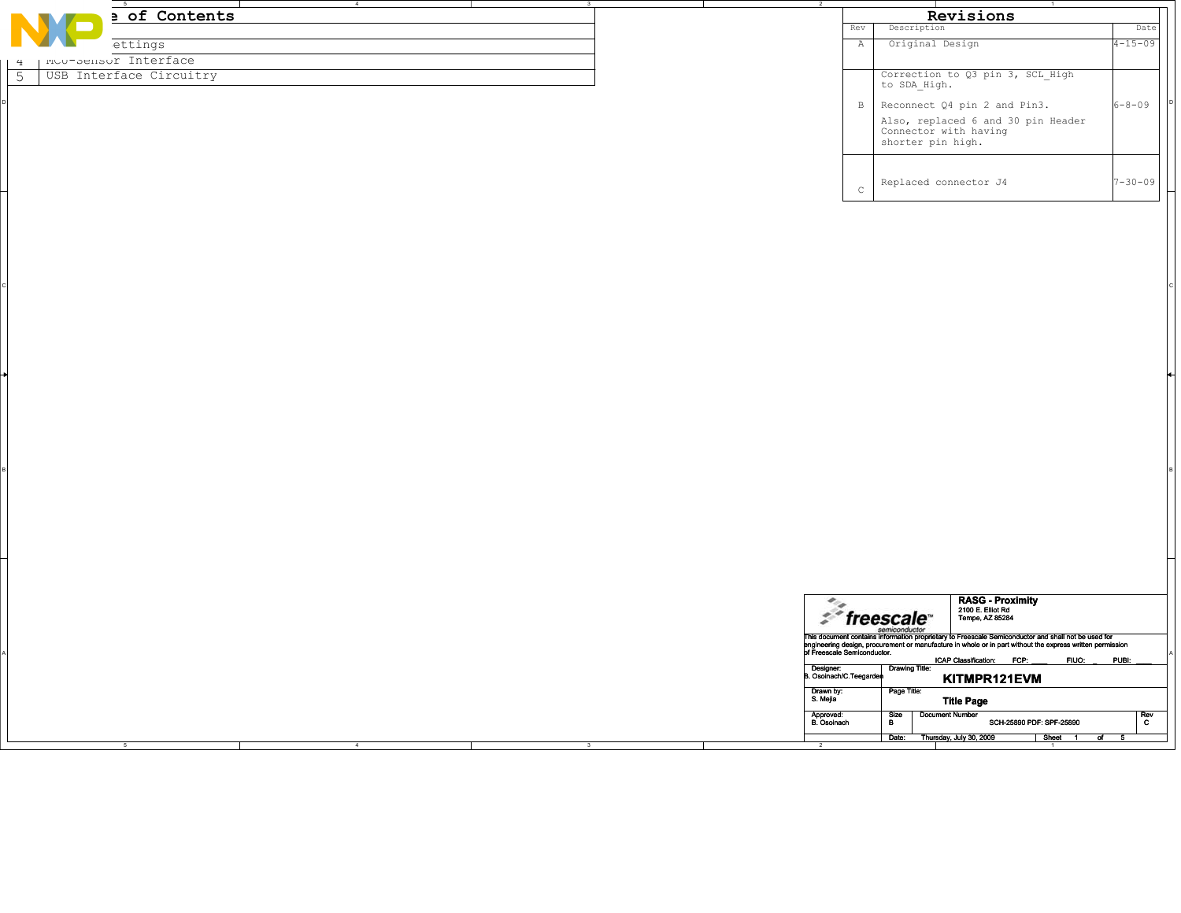|                | <u> 1999 - Johann Barnett, f</u><br>5<br>a of Contents | $-4$ | $\overline{\phantom{a}3}$ | $\overline{2}$ |                                                                                          | $\mathcal{L}(\mathcal{L})$                                                                                        | $\overline{1}$<br>Revisions                                                                                                                                                                                                                                                                                                                                                                                    |                        |
|----------------|--------------------------------------------------------|------|---------------------------|----------------|------------------------------------------------------------------------------------------|-------------------------------------------------------------------------------------------------------------------|----------------------------------------------------------------------------------------------------------------------------------------------------------------------------------------------------------------------------------------------------------------------------------------------------------------------------------------------------------------------------------------------------------------|------------------------|
|                |                                                        |      |                           |                | Rev                                                                                      | Description                                                                                                       |                                                                                                                                                                                                                                                                                                                                                                                                                | Date                   |
|                | ettings                                                |      |                           |                | $\overline{A}$                                                                           | Original Design                                                                                                   |                                                                                                                                                                                                                                                                                                                                                                                                                | $4 - 15 - 09$          |
| 4              | <b>MUU-SEIISUT Interface</b>                           |      |                           |                |                                                                                          |                                                                                                                   |                                                                                                                                                                                                                                                                                                                                                                                                                |                        |
| $\overline{5}$ | USB Interface Circuitry                                |      |                           |                |                                                                                          | to SDA High.                                                                                                      | Correction to Q3 pin 3, SCL High                                                                                                                                                                                                                                                                                                                                                                               |                        |
|                |                                                        |      |                           |                | B                                                                                        |                                                                                                                   | Reconnect Q4 pin 2 and Pin3.                                                                                                                                                                                                                                                                                                                                                                                   | $6 - 8 - 09$           |
|                |                                                        |      |                           |                |                                                                                          | Connector with having<br>shorter pin high.                                                                        | Also, replaced 6 and 30 pin Header                                                                                                                                                                                                                                                                                                                                                                             |                        |
| Н              |                                                        |      |                           |                | $\mathtt{C}$                                                                             | Replaced connector J4                                                                                             |                                                                                                                                                                                                                                                                                                                                                                                                                | $7 - 30 - 09$          |
|                |                                                        |      |                           |                |                                                                                          |                                                                                                                   |                                                                                                                                                                                                                                                                                                                                                                                                                |                        |
| ┡┥             |                                                        |      |                           |                |                                                                                          |                                                                                                                   |                                                                                                                                                                                                                                                                                                                                                                                                                |                        |
|                |                                                        |      |                           |                |                                                                                          |                                                                                                                   |                                                                                                                                                                                                                                                                                                                                                                                                                |                        |
| Н              |                                                        |      |                           |                | Designer:<br>B. Osoinach/C.Teegarde<br>Drawn by:<br>S. Mejia<br>Approved:<br>B. Osoinach | $z^2$ freescale<br><b>Drawing Title:</b><br>Page Title:<br><b>Document Number</b><br>$rac{\text{Size}}{\text{B}}$ | <b>RASG - Proximity</b><br>2100 E. Elliot Rd<br>Tempe, AZ 85284<br>This document contains information proprietary to Freescale Semiconductor and shall not be used for<br>engineering design, procurement or manufacture in whole or in part without the express written permission<br>of Freescale Sem<br>ICAP Classification: FCP:<br>FIUO:<br>KITMPR121EVM<br><b>Title Page</b><br>SCH-25890 PDF: SPF-25890 | PUBI:<br>$rac{Rev}{C}$ |
|                | $\overline{5}$                                         | $-4$ | $\overline{\phantom{a}3}$ |                |                                                                                          | Date: Thursday, July 30, 2009                                                                                     | Sheet 1 of 5                                                                                                                                                                                                                                                                                                                                                                                                   |                        |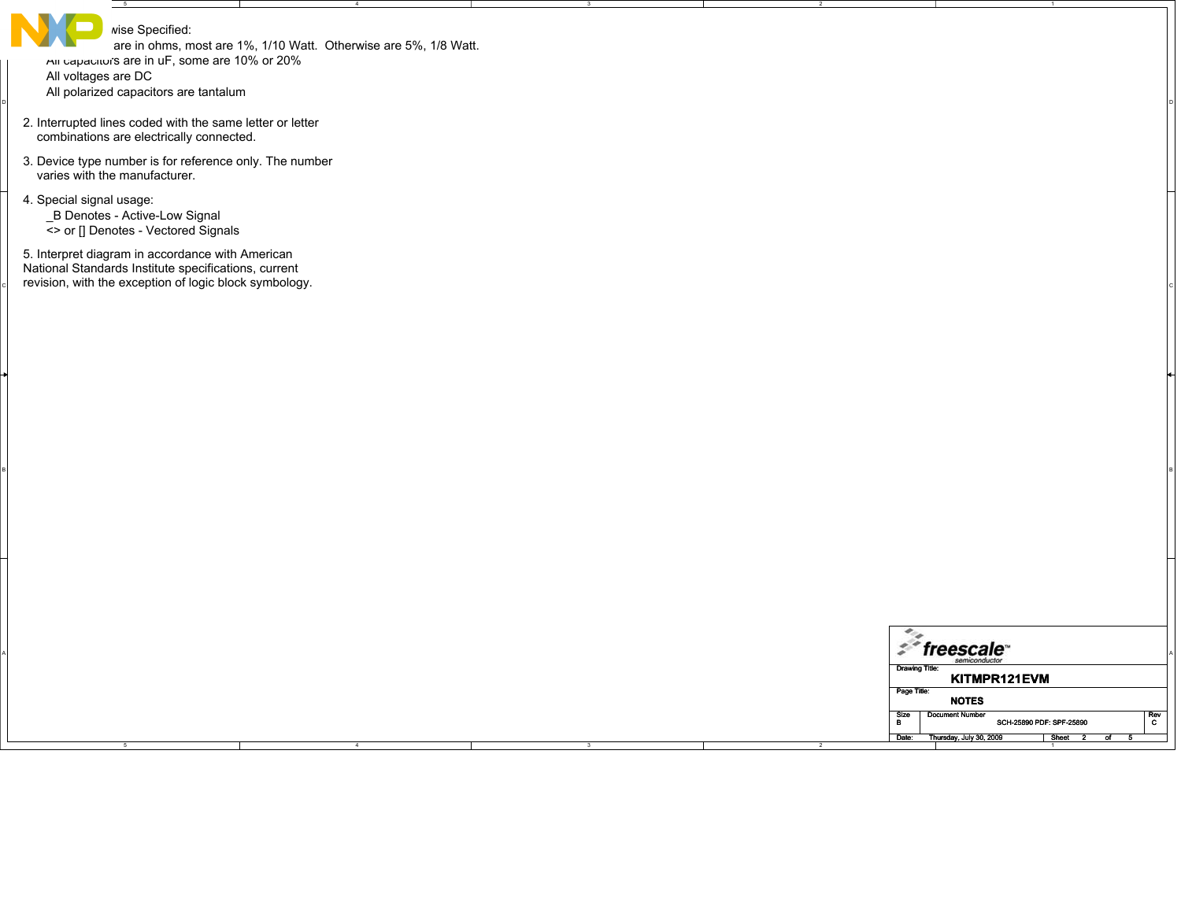| wise Specified:<br>are in ohms, most are 1%, 1/10 Watt. Otherwise are 5%, 1/8 Watt.<br>All capacitor's are in uF, some are 10% or 20%<br>All voltages are DC<br>All polarized capacitors are tantalum |  |  |                                      |                                                                    |               |
|-------------------------------------------------------------------------------------------------------------------------------------------------------------------------------------------------------|--|--|--------------------------------------|--------------------------------------------------------------------|---------------|
| 2. Interrupted lines coded with the same letter or letter<br>combinations are electrically connected.                                                                                                 |  |  |                                      |                                                                    |               |
| 3. Device type number is for reference only. The number<br>varies with the manufacturer.                                                                                                              |  |  |                                      |                                                                    |               |
| 4. Special signal usage:<br>_B Denotes - Active-Low Signal<br><> or [] Denotes - Vectored Signals                                                                                                     |  |  |                                      |                                                                    |               |
| 5. Interpret diagram in accordance with American<br>National Standards Institute specifications, current<br>revision, with the exception of logic block symbology.                                    |  |  |                                      |                                                                    |               |
|                                                                                                                                                                                                       |  |  |                                      |                                                                    |               |
|                                                                                                                                                                                                       |  |  |                                      |                                                                    |               |
|                                                                                                                                                                                                       |  |  |                                      |                                                                    |               |
|                                                                                                                                                                                                       |  |  |                                      |                                                                    |               |
|                                                                                                                                                                                                       |  |  |                                      |                                                                    |               |
|                                                                                                                                                                                                       |  |  |                                      |                                                                    |               |
|                                                                                                                                                                                                       |  |  |                                      |                                                                    |               |
|                                                                                                                                                                                                       |  |  | $\epsilon_{\alpha}$                  | $z^*$ freescale                                                    |               |
|                                                                                                                                                                                                       |  |  | <b>Drawing Title:</b><br>Page Title: | KITMPR121EVM                                                       |               |
|                                                                                                                                                                                                       |  |  | Size<br>B                            | <b>NOTES</b><br><b>Document Number</b><br>SCH-25890 PDF: SPF-25890 | $rac{Rev}{C}$ |
|                                                                                                                                                                                                       |  |  |                                      | Date: Thursday, July 30, 2009                                      | Sheet         |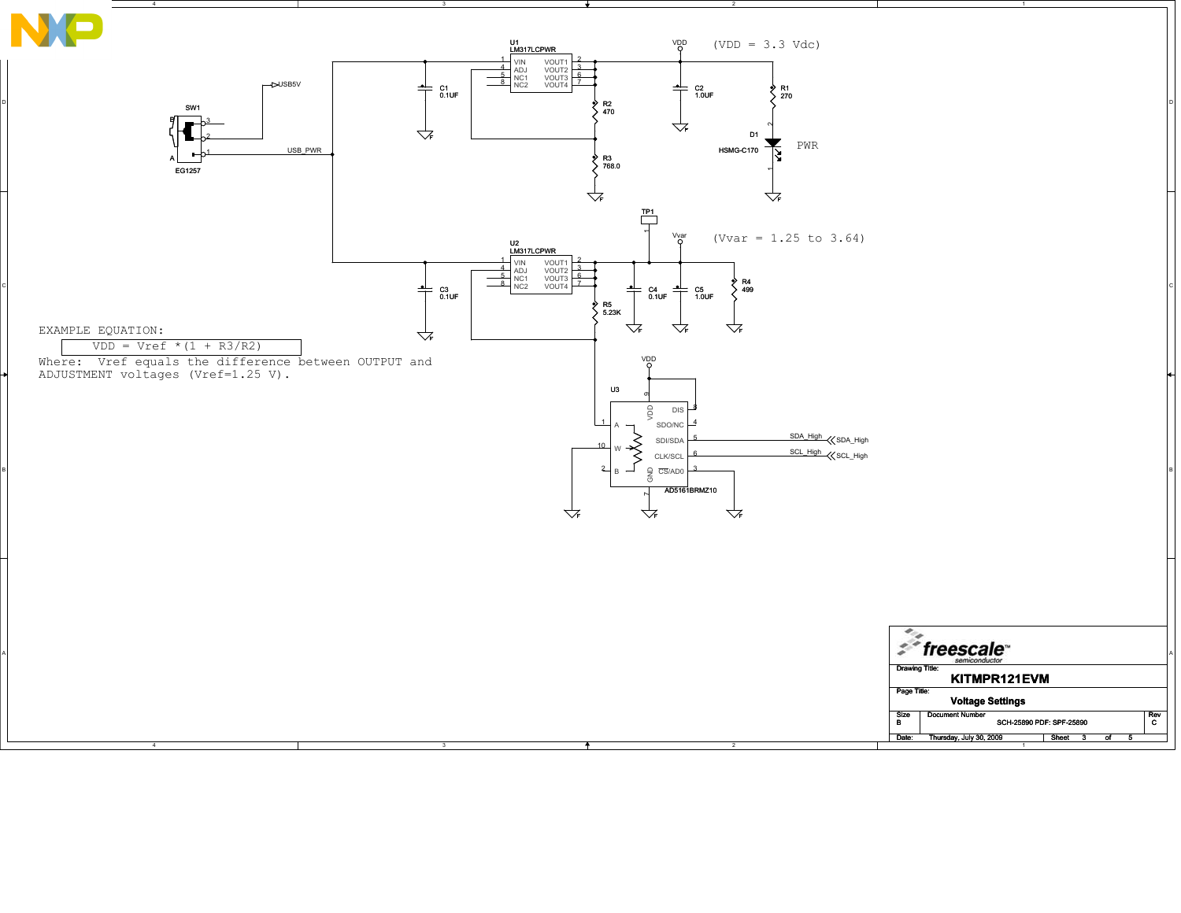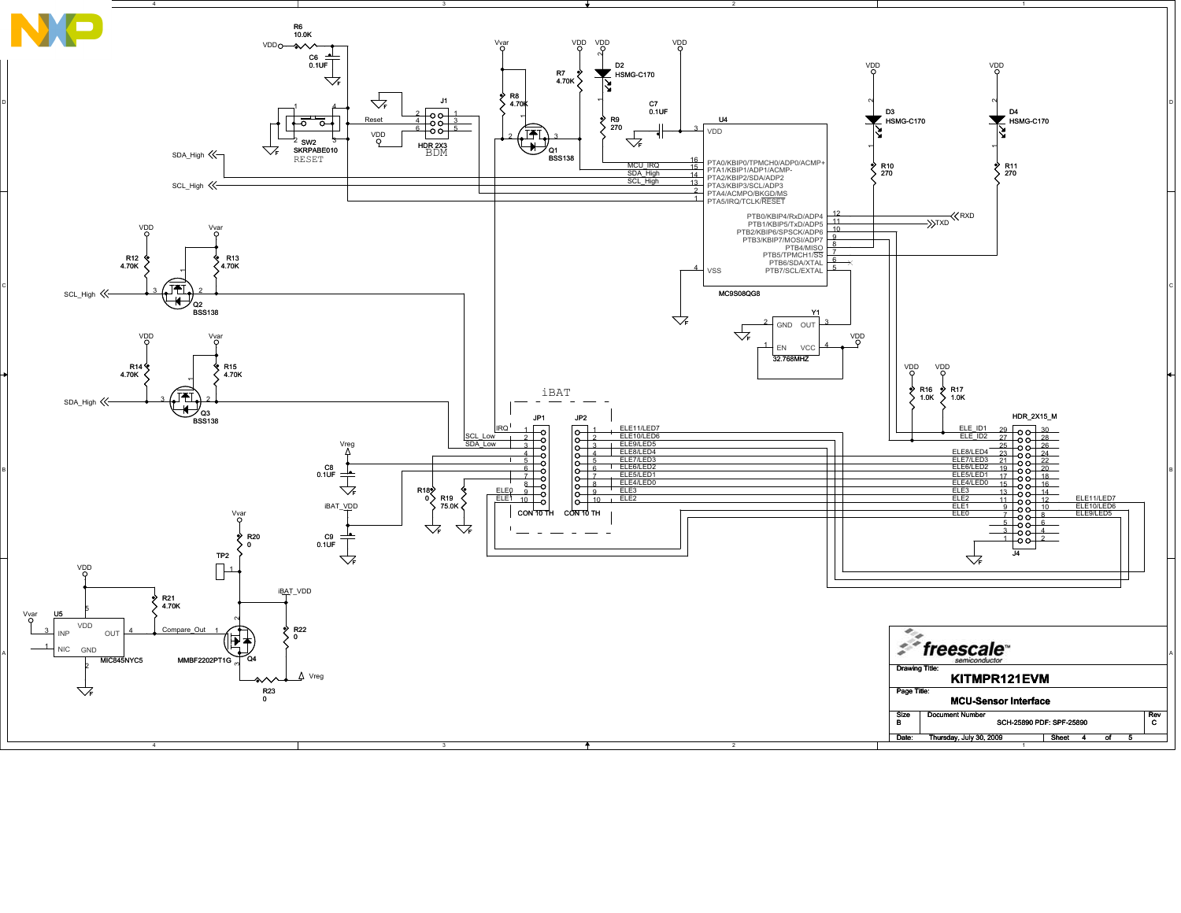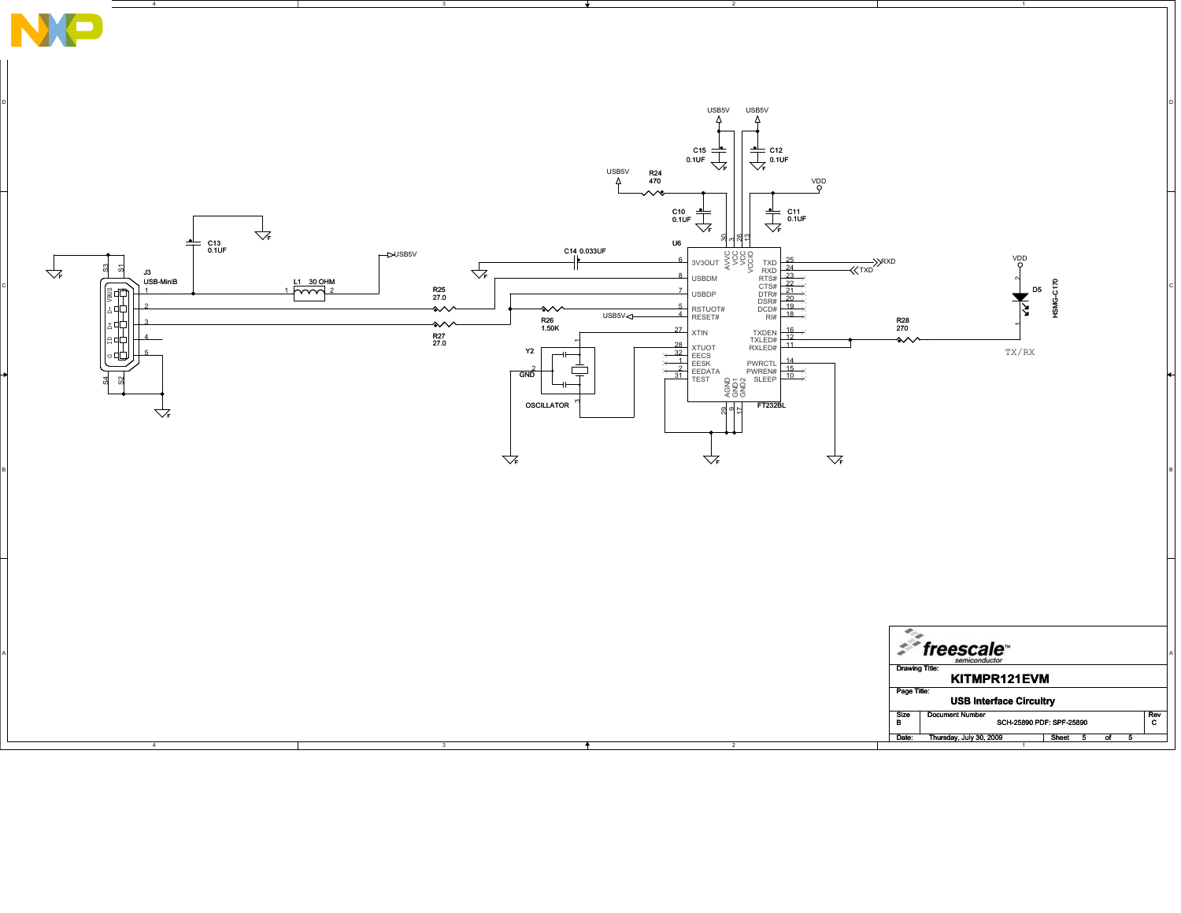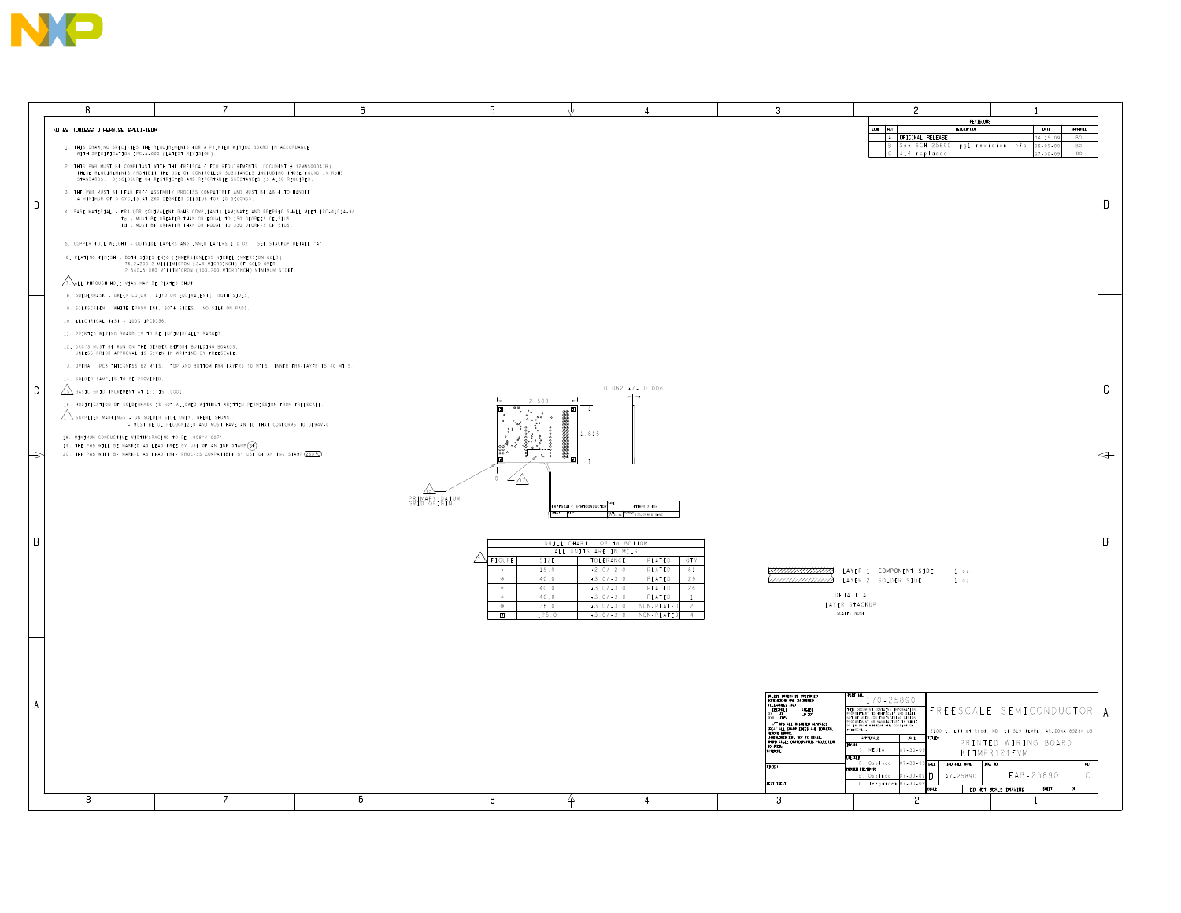

|        | 8                                                                                                                     | $\overline{7}$                                                                                                                                                                                                                                                              | 6  | 5                    |                                              | $\Delta$                                                               |                                                                                                                                                                                       | $\overline{c}$                                                                                                                                                                    |                                                                                 |                 |
|--------|-----------------------------------------------------------------------------------------------------------------------|-----------------------------------------------------------------------------------------------------------------------------------------------------------------------------------------------------------------------------------------------------------------------------|----|----------------------|----------------------------------------------|------------------------------------------------------------------------|---------------------------------------------------------------------------------------------------------------------------------------------------------------------------------------|-----------------------------------------------------------------------------------------------------------------------------------------------------------------------------------|---------------------------------------------------------------------------------|-----------------|
|        |                                                                                                                       |                                                                                                                                                                                                                                                                             |    |                      |                                              |                                                                        | 3                                                                                                                                                                                     | REVISIONS                                                                                                                                                                         |                                                                                 |                 |
|        | NOTES (UNLESS OTHERWISE SPECIFIED):                                                                                   |                                                                                                                                                                                                                                                                             |    |                      |                                              |                                                                        |                                                                                                                                                                                       | ZONE REV<br><b>DESCRIPTION</b><br>A ORIGINAL RELEASE                                                                                                                              | APPROVED<br>DATE<br>$04 - 15 - 09$<br>B <sub>0</sub>                            |                 |
|        | WITH SPECIFICATION IPC-A-600 (LATEST REVISION).                                                                       | 1. THIS DRAWING SPECIFIES THE REQUIRENENTS FOR A PRINTED WIRING BOARD IN ACCORDANCE                                                                                                                                                                                         |    |                      |                                              |                                                                        |                                                                                                                                                                                       | B See SCH-25890, pg1 revision info 06-09-09<br>C J14 replaced                                                                                                                     | <b>BO</b><br>$ 07 - 30 - 09 $<br><b>BO</b>                                      |                 |
|        |                                                                                                                       | 2. THIS PWB MUST BE COMPLIANT WITH THE FREESCALE ECO REQUIREMENTS (DOCUMENT # 12MWS00047B)<br>THESE REQUIREMENTS PROHIBIT THE USE OF CONTROLLED SUBSTANCES INCLUDING THOSE FOUND IN RoHS<br>STANDARDS. DISCLOSURE OF RESTRICTED AND REPORTABLE SUBSTANCES IS ALSO REQUIRED. |    |                      |                                              |                                                                        |                                                                                                                                                                                       |                                                                                                                                                                                   |                                                                                 |                 |
| $\Box$ |                                                                                                                       | 3. THE PWB MUST BE LEAD FREE ASSEMBLY PROCESS COMPATIBLE AND MUST BE ABLE TO HANDLE<br>A MINIMUM OF 5 CYCLES AT 260 DEGREES CELSIUS FOR 10 SECONDS.                                                                                                                         |    |                      |                                              |                                                                        |                                                                                                                                                                                       |                                                                                                                                                                                   |                                                                                 | $\Box$          |
|        |                                                                                                                       | 4. BASE MATERIAL - FR4 (OR EQUIVALENT RoHS COMPLIANT) LAMINATE AND PREPREG SHALL MEET IPC-4101A-94<br>Tg - MUST BE GREATER THAN OR EQUAL TO 150 DEGREES CELSIUS.<br>Td - MUST BE GREATER THAN OR EQUAL TO 330 DEGREES CELSIUS.                                              |    |                      |                                              |                                                                        |                                                                                                                                                                                       |                                                                                                                                                                                   |                                                                                 |                 |
|        |                                                                                                                       | 5. COPPER FOIL WEIGHT - OUTSIDE LAYERS AND INNER LAYERS 1.0 OZ. SEE STACKUP DETAIL 'A'                                                                                                                                                                                      |    |                      |                                              |                                                                        |                                                                                                                                                                                       |                                                                                                                                                                                   |                                                                                 |                 |
|        |                                                                                                                       | 6. PLATING FINISH - BOTH SIDES ENIG (EMMERSIONLESS NICKEL IMMERSION GOLD):<br>76.2-203.2 MILLIMICRON (3-8 MICROINCH) OF GOLD OVER<br>2.540-5.080 MILLIMICRON (100-200 MICROINCH) MINIMUM NICKEL.                                                                            |    |                      |                                              |                                                                        |                                                                                                                                                                                       |                                                                                                                                                                                   |                                                                                 |                 |
|        | 1. ALL THROUGH HOLE VIAS MAY BE PLATED SHUT.                                                                          |                                                                                                                                                                                                                                                                             |    |                      |                                              |                                                                        |                                                                                                                                                                                       |                                                                                                                                                                                   |                                                                                 |                 |
|        |                                                                                                                       | 8. SOLDERMASK - GREEN COLOR (TAIYO OR EQUIVALENT), BOTH SIDES,                                                                                                                                                                                                              |    |                      |                                              |                                                                        |                                                                                                                                                                                       |                                                                                                                                                                                   |                                                                                 |                 |
|        |                                                                                                                       | 9. SILKSCREEN - WHITE EPOXY INK, BOTH SIDES. NO SILK ON PADS.                                                                                                                                                                                                               |    |                      |                                              |                                                                        |                                                                                                                                                                                       |                                                                                                                                                                                   |                                                                                 |                 |
|        | 10. ELECTRICAL TEST - 100% IPCD356.                                                                                   |                                                                                                                                                                                                                                                                             |    |                      |                                              |                                                                        |                                                                                                                                                                                       |                                                                                                                                                                                   |                                                                                 |                 |
|        | 11. PRINTED WIRING BOARD IS TO BE INDIVIDUALLY BAGGED.<br>12. DRC'S NUST BE RUN ON THE GERBER BEFORE BUILDING BOARDS. |                                                                                                                                                                                                                                                                             |    |                      |                                              |                                                                        |                                                                                                                                                                                       |                                                                                                                                                                                   |                                                                                 |                 |
|        | UNLESS PRIOR APPROVAL IS GIVEN IN WRITING BY FREESCALE.                                                               | 13. OVERALL PCB THICKNESS 62 MILS. TOP AND BOTTOM FR4 LAYERS 10 MILS. INNER FR4-LAYER IS 40 MILS.                                                                                                                                                                           |    |                      |                                              |                                                                        |                                                                                                                                                                                       |                                                                                                                                                                                   |                                                                                 |                 |
|        | 14. SOLDER SAMPLES TO BE PROVIDED.                                                                                    |                                                                                                                                                                                                                                                                             |    |                      |                                              |                                                                        |                                                                                                                                                                                       |                                                                                                                                                                                   |                                                                                 |                 |
| C      | $\sqrt{15}$ BASIC GRID INCREMENT AT 1:1 IS .0001.                                                                     |                                                                                                                                                                                                                                                                             |    |                      |                                              | $0.062 +/- 0.006$                                                      |                                                                                                                                                                                       |                                                                                                                                                                                   |                                                                                 | C.              |
|        |                                                                                                                       | 16. MODIFICATION OF SOLDERMASK IS NOT ALLOWED WITHOUT WRITTEN PERMISSION FROM FREESCALE.                                                                                                                                                                                    |    |                      | 2.500                                        |                                                                        |                                                                                                                                                                                       |                                                                                                                                                                                   |                                                                                 |                 |
|        | $\sqrt{17}$ SUPPLIER MARKINGS - ON SOLDER SIDE ONLY, WHERE SHOWN.                                                     | - MUST BE UL RECOGNIZED AND MUST HAVE AN ID THAT CONFORMS TO UL94V-0                                                                                                                                                                                                        |    |                      |                                              |                                                                        |                                                                                                                                                                                       |                                                                                                                                                                                   |                                                                                 |                 |
|        | 18. MINIMUM CONDUCTIVE WIDTH/SPACING TO BE .008"/.007"                                                                |                                                                                                                                                                                                                                                                             |    |                      |                                              | 1.815                                                                  |                                                                                                                                                                                       |                                                                                                                                                                                   |                                                                                 |                 |
| ⊢⇒     |                                                                                                                       | 19. THE PWB WILL BE MARKED AS LEAD FREE BY USE OF AN INK STAMP (BB)<br>20. THE PWB WILL BE MARKED AS LEAD FREE PROCESS COMPATIBLE BY USE OF AN INK STAMP (260°C)                                                                                                            |    |                      |                                              |                                                                        |                                                                                                                                                                                       |                                                                                                                                                                                   |                                                                                 | $\triangleleft$ |
|        |                                                                                                                       |                                                                                                                                                                                                                                                                             |    |                      |                                              |                                                                        |                                                                                                                                                                                       |                                                                                                                                                                                   |                                                                                 |                 |
|        |                                                                                                                       |                                                                                                                                                                                                                                                                             |    |                      | $\angle$ A $\land$                           |                                                                        |                                                                                                                                                                                       |                                                                                                                                                                                   |                                                                                 |                 |
|        |                                                                                                                       |                                                                                                                                                                                                                                                                             |    | $\sqrt{15}$          |                                              |                                                                        |                                                                                                                                                                                       |                                                                                                                                                                                   |                                                                                 |                 |
|        |                                                                                                                       |                                                                                                                                                                                                                                                                             |    | <b>BRIMARY DATUM</b> | <b>FREESCALE SENTCONDUCTOR</b><br>acer prium | <b>KITHPRIZIEVE</b>                                                    |                                                                                                                                                                                       |                                                                                                                                                                                   |                                                                                 |                 |
|        |                                                                                                                       |                                                                                                                                                                                                                                                                             |    |                      |                                              | DATE NAMEE 170-25890 REVE                                              |                                                                                                                                                                                       |                                                                                                                                                                                   |                                                                                 |                 |
| B      |                                                                                                                       |                                                                                                                                                                                                                                                                             |    |                      |                                              |                                                                        |                                                                                                                                                                                       |                                                                                                                                                                                   |                                                                                 | B               |
|        |                                                                                                                       |                                                                                                                                                                                                                                                                             |    |                      |                                              | DRILL CHART: TOP to BOTTOM<br>ALL UNITS ARE IN MILS                    |                                                                                                                                                                                       |                                                                                                                                                                                   |                                                                                 |                 |
|        |                                                                                                                       |                                                                                                                                                                                                                                                                             |    | $\triangle$ FIGURE   | SIZE<br>15.0<br>$\bullet$                    | TOLERANCE<br>PLATED<br><b>OTY</b><br>$+2.0/-2.0$<br>PLATED<br>61       |                                                                                                                                                                                       |                                                                                                                                                                                   |                                                                                 |                 |
|        |                                                                                                                       |                                                                                                                                                                                                                                                                             |    |                      | $\circ$<br>40.0                              | $+3.0/-3.0$<br>PLATED<br>29                                            | mmmmmm                                                                                                                                                                                | $1 02$ .<br>LAYER 2 SOLDER SIDE<br>$1$ $02$ .                                                                                                                                     |                                                                                 |                 |
|        |                                                                                                                       |                                                                                                                                                                                                                                                                             |    |                      | $\bullet$<br>40.0<br>$\bullet$<br>40.0       | $+3.0/-3.0$<br>PLATED<br>26<br>PLATED<br>$\overline{1}$<br>$+3.0/-3.0$ |                                                                                                                                                                                       | DETAIL A                                                                                                                                                                          |                                                                                 |                 |
|        |                                                                                                                       |                                                                                                                                                                                                                                                                             |    |                      | $\bullet$<br>36.0                            | $+3.0/-3.0$<br>NON-PLATED<br>$\overline{2}$                            | LAYER STACKUP<br>SCALE: NONE                                                                                                                                                          |                                                                                                                                                                                   |                                                                                 |                 |
|        |                                                                                                                       |                                                                                                                                                                                                                                                                             |    |                      | $\overline{u}$<br>125.0                      | $+3, 0/-3, 0$<br>NON-PLATED<br>4                                       |                                                                                                                                                                                       |                                                                                                                                                                                   |                                                                                 |                 |
|        |                                                                                                                       |                                                                                                                                                                                                                                                                             |    |                      |                                              |                                                                        |                                                                                                                                                                                       |                                                                                                                                                                                   |                                                                                 |                 |
|        |                                                                                                                       |                                                                                                                                                                                                                                                                             |    |                      |                                              |                                                                        |                                                                                                                                                                                       |                                                                                                                                                                                   |                                                                                 |                 |
|        |                                                                                                                       |                                                                                                                                                                                                                                                                             |    |                      |                                              |                                                                        |                                                                                                                                                                                       |                                                                                                                                                                                   |                                                                                 |                 |
|        |                                                                                                                       |                                                                                                                                                                                                                                                                             |    |                      |                                              |                                                                        |                                                                                                                                                                                       |                                                                                                                                                                                   |                                                                                 |                 |
|        |                                                                                                                       |                                                                                                                                                                                                                                                                             |    |                      |                                              |                                                                        |                                                                                                                                                                                       | 170-25890                                                                                                                                                                         |                                                                                 |                 |
| A      |                                                                                                                       |                                                                                                                                                                                                                                                                             |    |                      |                                              |                                                                        | UNLESS OTHERWISE SPECIFIED<br>DIMENSIONS ARE IN INCHES<br>TOLERWICES ARE<br>DECIMULS<br>JOX _0.01 00:30*<br>JOX _0.05                                                                 |                                                                                                                                                                                   | FREESCALE SEMICONDUCTOR   A                                                     |                 |
|        |                                                                                                                       |                                                                                                                                                                                                                                                                             |    |                      |                                              |                                                                        |                                                                                                                                                                                       | THIS DOCUMENT CONTAINS INFORMATION<br>PROPRIETARY TO FREESCALE AND SHALL<br>NOT BE USED FOR ENSIMEERING DESIGN<br>PROCUMENENT OR NANUFACTURE IN MNDLE<br>CREESCALE,<br>FREESCALE, |                                                                                 |                 |
|        |                                                                                                                       |                                                                                                                                                                                                                                                                             |    |                      |                                              |                                                                        | <b>AN AND ALL INCHINED SUFFACES<br/> SPEAK ALL SHAP EDGES AND CORNERS,<br/> RENOVE BURRS.</b><br>UNIED JUNE ORTHODAVPHIC PROJECTION<br>UNIED JUNE ORTHODAVPHIC PROJECTION<br>IS USED. | <b>APPROVALS</b><br>DATE                                                                                                                                                          | 2100 E. Elliot Road, MD: EL 519 TEMPE, ARIZONA 85284 US<br>PRINTED WIRING BOARD |                 |
|        |                                                                                                                       |                                                                                                                                                                                                                                                                             |    |                      |                                              |                                                                        |                                                                                                                                                                                       | S. MEJIA<br>$07 - 30 - 0$<br>$\sim$                                                                                                                                               | KITMPR121EVM                                                                    |                 |
|        |                                                                                                                       |                                                                                                                                                                                                                                                                             |    |                      |                                              |                                                                        | <b>ENKH</b>                                                                                                                                                                           | B. Osoinac<br>07-30-09 SIZE CAD FILE NAME DWG. ND.<br>DESIGN ENGINEER                                                                                                             | REV                                                                             |                 |
|        |                                                                                                                       |                                                                                                                                                                                                                                                                             |    |                      |                                              |                                                                        | HEAT THEAT                                                                                                                                                                            | B. Oscinac 07-30-09   LAY-25890<br>C. Teegarden 07-30-09 SCALE                                                                                                                    | $\mathsf{C}$<br>FAB-25890                                                       |                 |
|        | 8                                                                                                                     |                                                                                                                                                                                                                                                                             | -6 | 5.                   | Δ                                            | $\overline{4}$                                                         | 3                                                                                                                                                                                     | $\mathbf{2}$                                                                                                                                                                      | DO NOT SCALE DRAWING<br>SHEET<br>$\overline{a}$<br>$\mathbf{1}$                 |                 |
|        |                                                                                                                       |                                                                                                                                                                                                                                                                             |    |                      |                                              |                                                                        |                                                                                                                                                                                       |                                                                                                                                                                                   |                                                                                 |                 |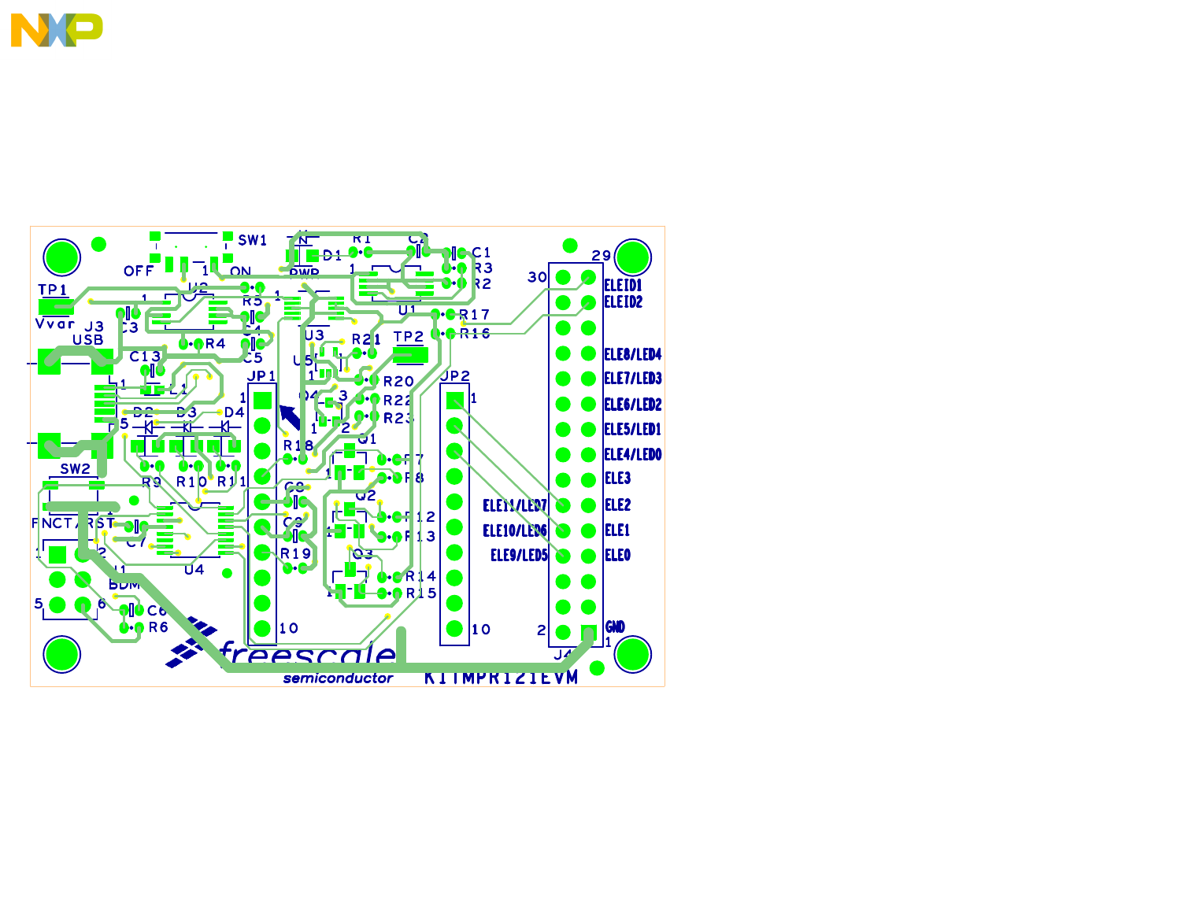

## $\begin{array}{|c|c|c|}\n\hline\n\text{N} & \text{N} & \text{N} \\
\hline\n\text{N} & \text{D} & \text{J} & \text{J} \\
\hline\n\text{DWD} & \text{J} & \text{J} \\
\hline\n\end{array}$ SW1  $\mathbf{I}$ **ICC1**<br>ICR3 29  $\mathbf{\bar{1}}$ **OFF**  $\overline{ON}$  $30$  $\frac{1}{2}$  R2 TP1<br>Vvar J3<br>USB **ELEID1** h•í **DELEID2 R5**  $\bullet$  $\overline{\mathbf{U}}$ 1 **Pld**<br>C<sub>3</sub>  $-0.17$ I  $\cdot$ CR16  $\sqrt{\frac{13}{5}}$ TP<sub>2</sub>  $R<sup>21</sup>$ **b.** R4 **ile**<br>Us  $C13$ n, **ELE8/LED4**  $\bullet$  $1<sup>L</sup>$ <u>SP2</u> ELE7/LED3 JP **R20**  $\bullet$ **R22** ELE6/LED2  $\overset{\bullet}{\mathbb{D}4}$  $\mathbf{C}3$ **R23** 5 ELE5/LED1 **N R18** ELE4/LEDO d. 0·1 SW<sub>2</sub> **ELE3** a.n. Rg R10 R11 18 **For** <u>u2</u> ELEYA/LED7 ELE2 FNCT RST-OLD  $12$ **ELE1** ELE10/LED6  $\overline{\mathbf{3}}$ ELE9/LED5 **ELEO R19** במו 9.0  $-0.0R14$ <br> $-0.0R15$ **bum**  $\bullet$  $5<sub>1</sub>$ 6 **DIO** C6  $\bullet\bullet$  R6  $10$ GND  $\vert$ 10  $\mathsf{2}$ treescale  $\overline{\mathcal{P}}$ KITMPRIZIEVM semiconductor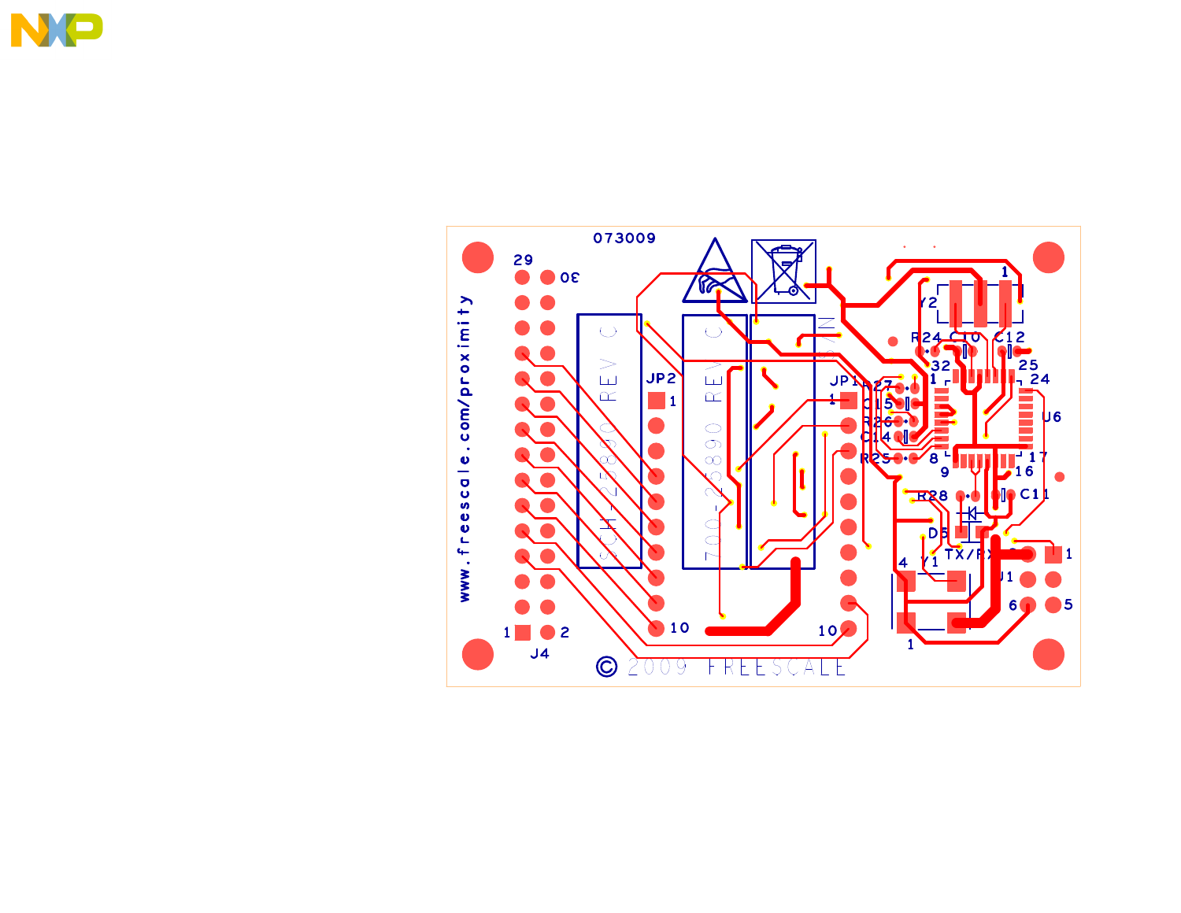

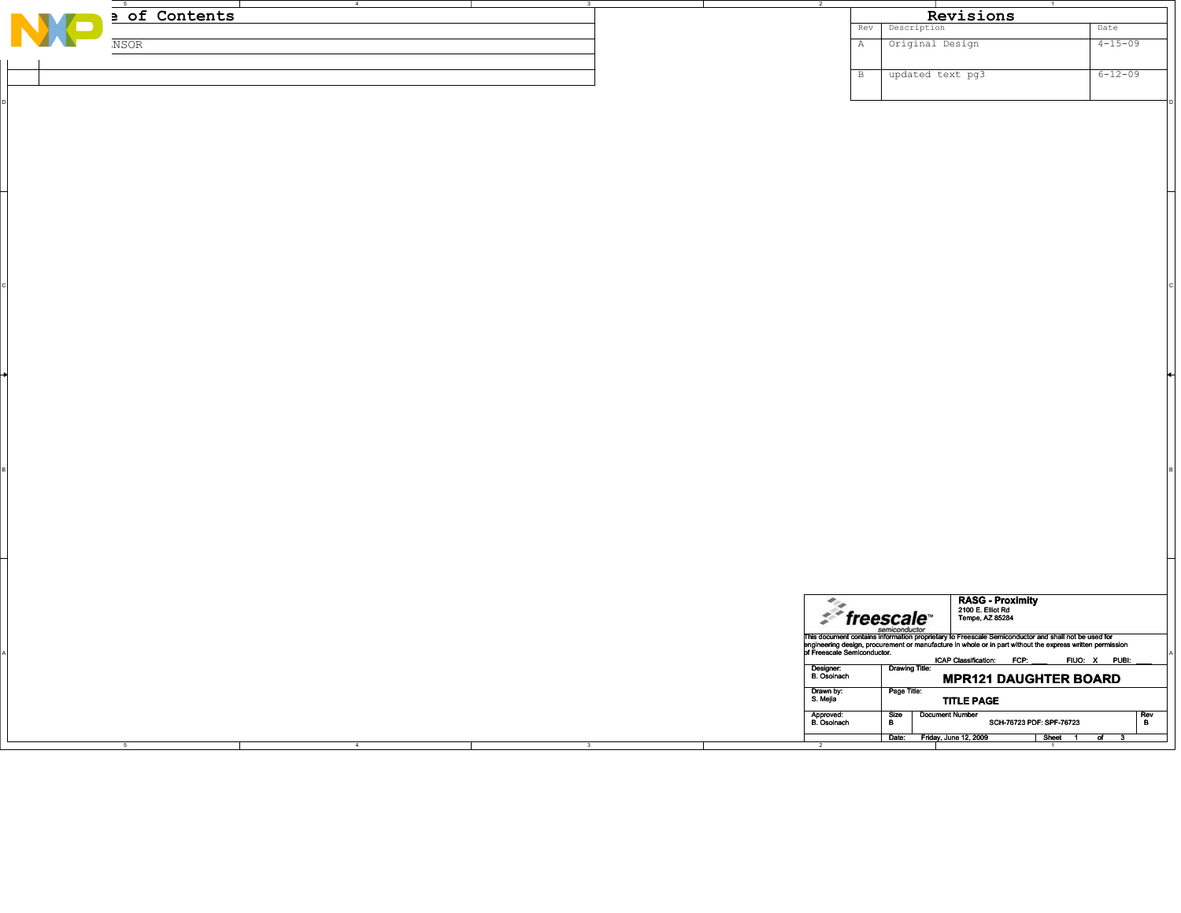|   | and the control of the<br>$5 - 5$ | $-4$           | $\overline{\mathbf{3}}$   | $\overline{2}$<br>$\mathbf{I}$ |                | $\sim 10^{-10}$              | $-1$                                                                                                                                                                                                                                 |               |
|---|-----------------------------------|----------------|---------------------------|--------------------------------|----------------|------------------------------|--------------------------------------------------------------------------------------------------------------------------------------------------------------------------------------------------------------------------------------|---------------|
|   | <u>a of Contents</u>              |                |                           |                                | Rev            |                              | Revisions                                                                                                                                                                                                                            | Date          |
|   |                                   |                |                           |                                |                | Description                  |                                                                                                                                                                                                                                      |               |
|   | <b>NSOR</b>                       |                |                           |                                | A              | Original Design              |                                                                                                                                                                                                                                      | $4 - 15 - 09$ |
|   |                                   |                |                           |                                |                |                              |                                                                                                                                                                                                                                      |               |
|   |                                   |                |                           |                                | $\overline{B}$ | updated text pg3             |                                                                                                                                                                                                                                      | $6 - 12 - 09$ |
|   |                                   |                |                           |                                |                |                              |                                                                                                                                                                                                                                      |               |
|   |                                   |                |                           |                                |                |                              |                                                                                                                                                                                                                                      |               |
|   |                                   |                |                           |                                |                |                              |                                                                                                                                                                                                                                      |               |
|   |                                   |                |                           |                                |                |                              |                                                                                                                                                                                                                                      |               |
|   |                                   |                |                           |                                |                |                              |                                                                                                                                                                                                                                      |               |
|   |                                   |                |                           |                                |                |                              |                                                                                                                                                                                                                                      |               |
|   |                                   |                |                           |                                |                |                              |                                                                                                                                                                                                                                      |               |
| ⊣ |                                   |                |                           |                                |                |                              |                                                                                                                                                                                                                                      |               |
|   |                                   |                |                           |                                |                |                              |                                                                                                                                                                                                                                      |               |
|   |                                   |                |                           |                                |                |                              |                                                                                                                                                                                                                                      |               |
|   |                                   |                |                           |                                |                |                              |                                                                                                                                                                                                                                      |               |
|   |                                   |                |                           |                                |                |                              |                                                                                                                                                                                                                                      |               |
|   |                                   |                |                           |                                |                |                              |                                                                                                                                                                                                                                      |               |
|   |                                   |                |                           |                                |                |                              |                                                                                                                                                                                                                                      |               |
|   |                                   |                |                           |                                |                |                              |                                                                                                                                                                                                                                      |               |
|   |                                   |                |                           |                                |                |                              |                                                                                                                                                                                                                                      |               |
|   |                                   |                |                           |                                |                |                              |                                                                                                                                                                                                                                      |               |
|   |                                   |                |                           |                                |                |                              |                                                                                                                                                                                                                                      |               |
|   |                                   |                |                           |                                |                |                              |                                                                                                                                                                                                                                      |               |
|   |                                   |                |                           |                                |                |                              |                                                                                                                                                                                                                                      |               |
| ┪ |                                   |                |                           |                                |                |                              |                                                                                                                                                                                                                                      |               |
|   |                                   |                |                           |                                |                |                              |                                                                                                                                                                                                                                      |               |
|   |                                   |                |                           |                                |                |                              |                                                                                                                                                                                                                                      |               |
|   |                                   |                |                           |                                |                |                              |                                                                                                                                                                                                                                      |               |
|   |                                   |                |                           |                                |                |                              |                                                                                                                                                                                                                                      |               |
|   |                                   |                |                           |                                |                |                              |                                                                                                                                                                                                                                      |               |
|   |                                   |                |                           |                                |                |                              |                                                                                                                                                                                                                                      |               |
|   |                                   |                |                           |                                |                |                              |                                                                                                                                                                                                                                      |               |
|   |                                   |                |                           |                                |                |                              |                                                                                                                                                                                                                                      |               |
|   |                                   |                |                           |                                |                |                              |                                                                                                                                                                                                                                      |               |
|   |                                   |                |                           |                                |                |                              |                                                                                                                                                                                                                                      |               |
|   |                                   |                |                           |                                |                |                              |                                                                                                                                                                                                                                      |               |
|   |                                   |                |                           |                                |                |                              |                                                                                                                                                                                                                                      |               |
|   |                                   |                |                           |                                |                |                              |                                                                                                                                                                                                                                      |               |
|   |                                   |                |                           |                                |                |                              |                                                                                                                                                                                                                                      |               |
|   |                                   |                |                           |                                |                |                              |                                                                                                                                                                                                                                      |               |
|   |                                   |                |                           |                                |                |                              |                                                                                                                                                                                                                                      |               |
|   |                                   |                |                           |                                |                | $\mathcal{F}$ freescale      | <b>RASG - Proximity</b><br>2100 E. Elliot Rd<br>Tempe, AZ 85284                                                                                                                                                                      |               |
|   |                                   |                |                           |                                |                | semiconductor                |                                                                                                                                                                                                                                      |               |
|   |                                   |                |                           |                                |                |                              | This document contains information proprietary to Freescale Semiconductor and shall not be used for<br>engineering design, procurement or manufacture in whole or in part without the express written permission<br>of Freescale Sem |               |
|   |                                   |                |                           |                                |                |                              | ICAP Classification: FCP:                                                                                                                                                                                                            | FIUO: X PUBI: |
|   |                                   |                |                           | Designer:<br>B. Osoinach       |                | <b>Drawing Title:</b>        |                                                                                                                                                                                                                                      |               |
|   |                                   |                |                           |                                |                | Page Title:                  | <b>MPR121 DAUGHTER BOARD</b>                                                                                                                                                                                                         |               |
|   |                                   |                |                           | Drawn by:<br>S. Mejia          |                |                              | <b>TITLE PAGE</b>                                                                                                                                                                                                                    |               |
|   |                                   |                |                           | Approved:<br>B. Osoinach       |                | $rac{\text{Size}}{\text{B}}$ | <b>Document Number</b>                                                                                                                                                                                                               | $R$ ev<br>B   |
|   |                                   |                |                           |                                |                |                              | SCH-76723 PDF: SPF-76723                                                                                                                                                                                                             |               |
|   | $-5$                              | $\overline{4}$ | $\overline{\phantom{a}3}$ |                                |                |                              | Date: Friday, June 12, 2009   Sheet 1 of 3                                                                                                                                                                                           |               |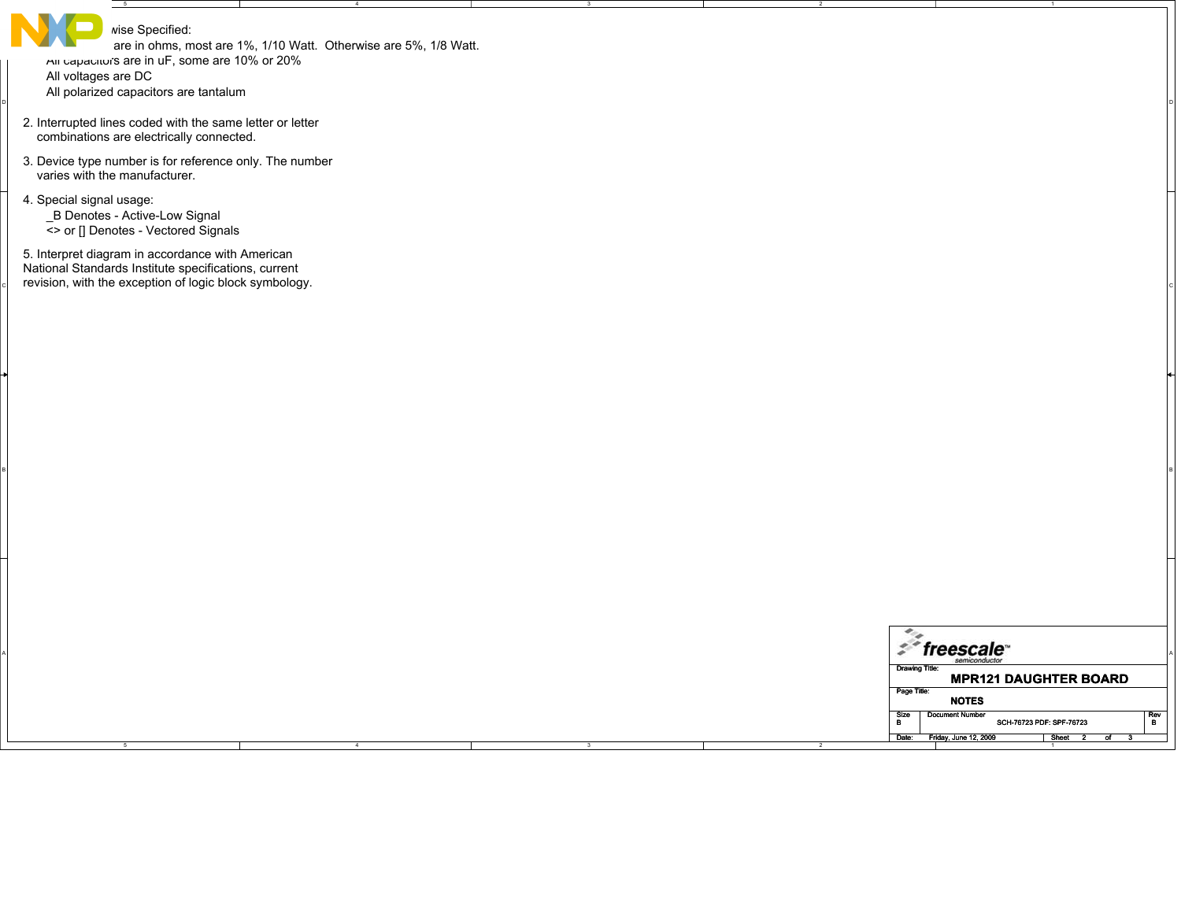| All voltages are DC           | wise Specified:<br>All capacitor's are in uF, some are 10% or 20%                                                                                                  | are in ohms, most are 1%, 1/10 Watt. Otherwise are 5%, 1/8 Watt. |  |  |                                      |                                                                                            |                            |
|-------------------------------|--------------------------------------------------------------------------------------------------------------------------------------------------------------------|------------------------------------------------------------------|--|--|--------------------------------------|--------------------------------------------------------------------------------------------|----------------------------|
|                               | All polarized capacitors are tantalum                                                                                                                              |                                                                  |  |  |                                      |                                                                                            |                            |
|                               | 2. Interrupted lines coded with the same letter or letter<br>combinations are electrically connected.                                                              |                                                                  |  |  |                                      |                                                                                            |                            |
| varies with the manufacturer. | 3. Device type number is for reference only. The number                                                                                                            |                                                                  |  |  |                                      |                                                                                            |                            |
| 4. Special signal usage:      | _B Denotes - Active-Low Signal<br><> or [] Denotes - Vectored Signals                                                                                              |                                                                  |  |  |                                      |                                                                                            |                            |
|                               | 5. Interpret diagram in accordance with American<br>National Standards Institute specifications, current<br>revision, with the exception of logic block symbology. |                                                                  |  |  |                                      |                                                                                            |                            |
|                               |                                                                                                                                                                    |                                                                  |  |  |                                      |                                                                                            |                            |
|                               |                                                                                                                                                                    |                                                                  |  |  |                                      |                                                                                            |                            |
|                               |                                                                                                                                                                    |                                                                  |  |  |                                      |                                                                                            |                            |
|                               |                                                                                                                                                                    |                                                                  |  |  |                                      |                                                                                            |                            |
|                               |                                                                                                                                                                    |                                                                  |  |  |                                      |                                                                                            |                            |
|                               |                                                                                                                                                                    |                                                                  |  |  |                                      |                                                                                            |                            |
|                               |                                                                                                                                                                    |                                                                  |  |  |                                      |                                                                                            |                            |
|                               |                                                                                                                                                                    |                                                                  |  |  |                                      |                                                                                            |                            |
|                               |                                                                                                                                                                    |                                                                  |  |  |                                      | <i>F</i> freescale <sup>®</sup>                                                            |                            |
|                               |                                                                                                                                                                    |                                                                  |  |  | <b>Drawing Title:</b><br>Page Title: | <b>MPR121 DAUGHTER BOARD</b>                                                               |                            |
|                               |                                                                                                                                                                    |                                                                  |  |  | $rac{\text{Size}}{\text{B}}$         | <b>NOTES</b><br>Document Number<br>SCH-76723 PDF: SPF-76723<br>Date: Friday, June 12, 2009 | $R$ ev<br>B<br>Sheet<br>σf |
|                               |                                                                                                                                                                    |                                                                  |  |  |                                      |                                                                                            |                            |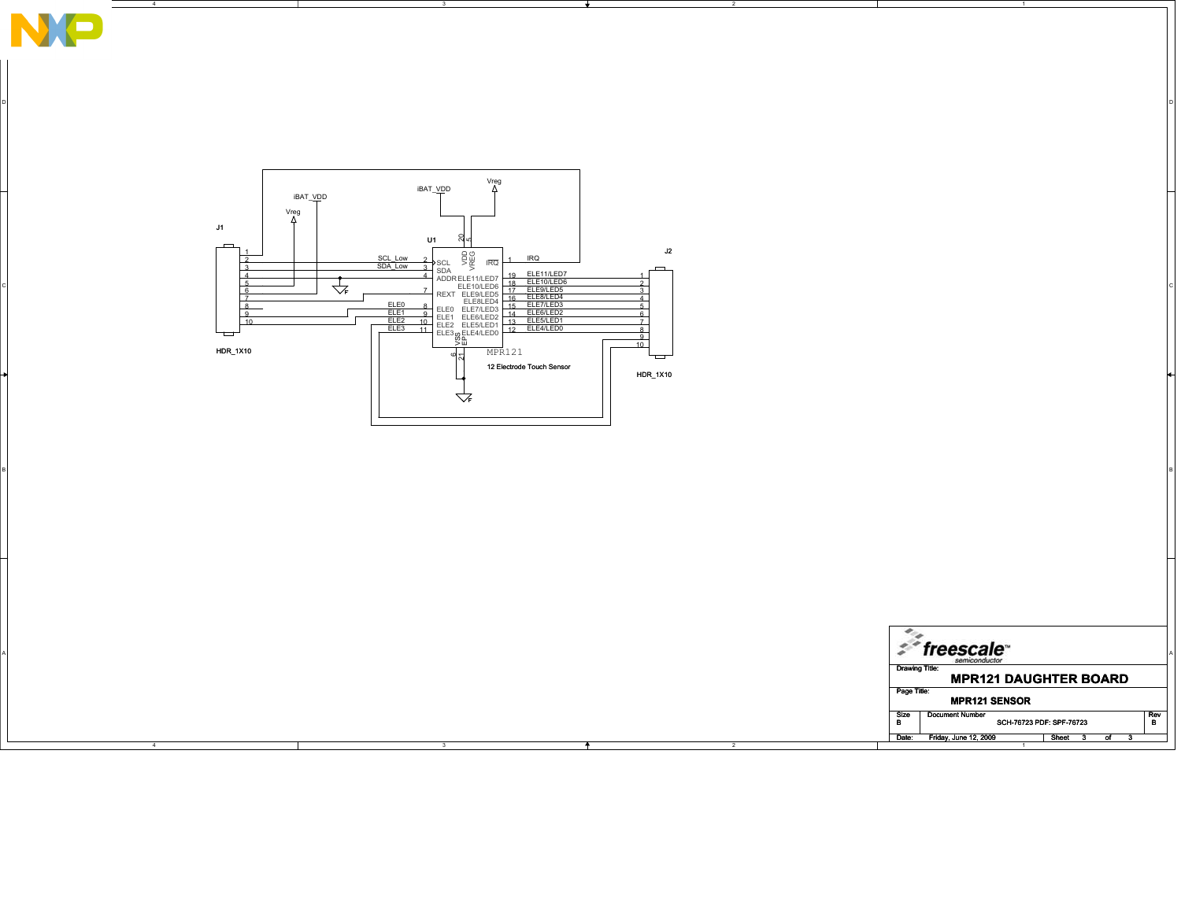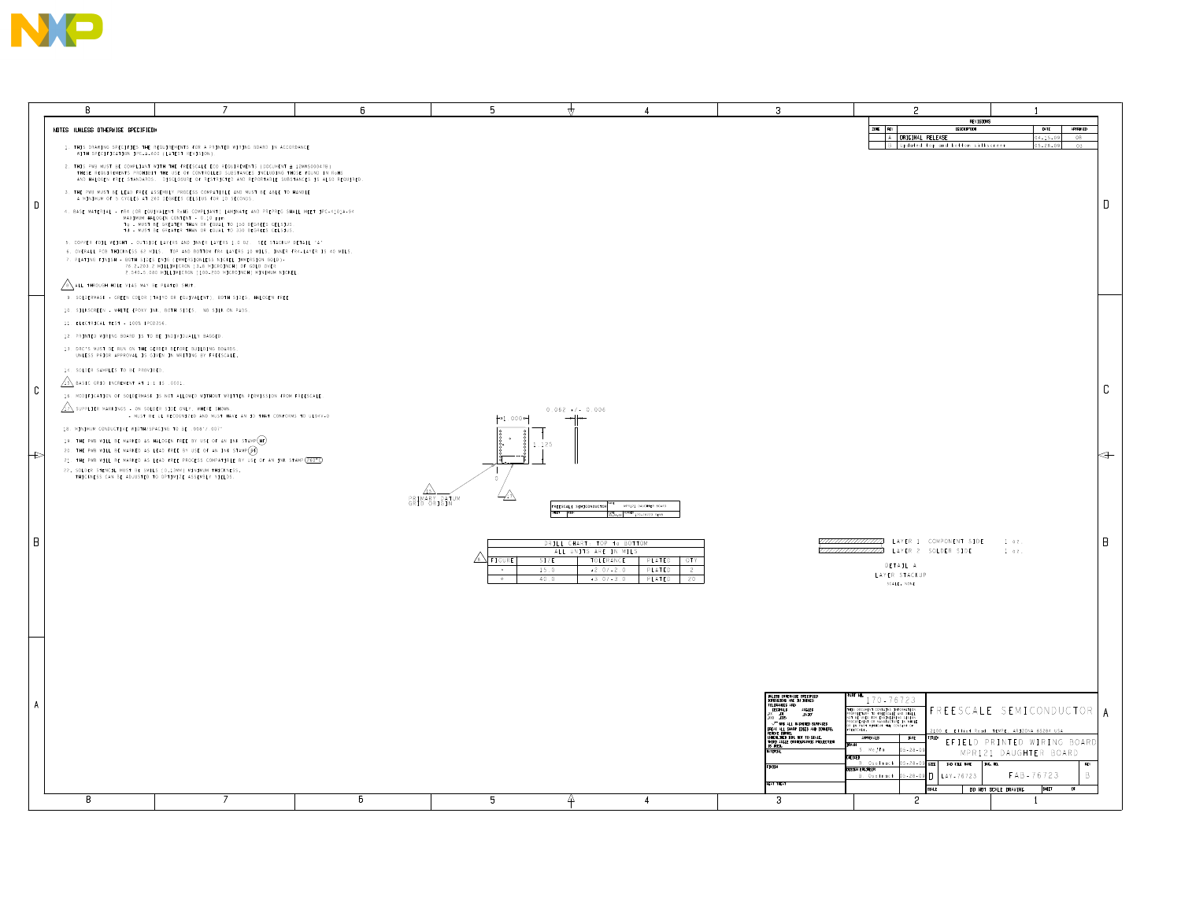

|                | 8                                                                 |                                                                                                                                                                                                                                                                                                                                                                                                | 6 | 5                    |                                        |                                                                        | 3                                                                                                                                                                                                                                                                                                                                                                                                                              | $\mathfrak{p}$                                                                                                                                                                                           |                                                      |              |
|----------------|-------------------------------------------------------------------|------------------------------------------------------------------------------------------------------------------------------------------------------------------------------------------------------------------------------------------------------------------------------------------------------------------------------------------------------------------------------------------------|---|----------------------|----------------------------------------|------------------------------------------------------------------------|--------------------------------------------------------------------------------------------------------------------------------------------------------------------------------------------------------------------------------------------------------------------------------------------------------------------------------------------------------------------------------------------------------------------------------|----------------------------------------------------------------------------------------------------------------------------------------------------------------------------------------------------------|------------------------------------------------------|--------------|
|                | NOTES (UNLESS OTHERWISE SPECIFIED):                               |                                                                                                                                                                                                                                                                                                                                                                                                |   |                      |                                        |                                                                        |                                                                                                                                                                                                                                                                                                                                                                                                                                | REVISIONS<br>ZONE REV<br><b>DESCRIPTION</b>                                                                                                                                                              | APPROVED<br>DATE                                     |              |
|                | WITH SPECIFICATION IPC-A-600 (LATEST REVISION).                   | 1. THIS DRAWING SPECIFIES THE REQUIRENENTS FOR A PRINTED WIRING BOARD IN ACCORDANCE                                                                                                                                                                                                                                                                                                            |   |                      |                                        |                                                                        |                                                                                                                                                                                                                                                                                                                                                                                                                                | A ORIGINAL RELEASE<br>B Updated top and bottom silkscreen                                                                                                                                                | $04 - 15 - 09$<br>OB<br>$ 05 - 28 - 09 $<br>OB       |              |
|                |                                                                   | 2. THIS PWB MUST BE COMPLIANT WITH THE FREESCALE ECO REQUIREMENTS (DOCUMENT # 12MWS00047B)<br>THESE REQUIREMENTS PROHIBIT THE USE OF CONTROLLED SUBSTANCES INCLUDING THOSE FOUND IN ROHS<br>AND HALOGEN FREE STANDARDS. DISCLOSURE OF RESTRICTED AND REPORTABLE SUBSTANCES IS ALSO REQUIRED.                                                                                                   |   |                      |                                        |                                                                        |                                                                                                                                                                                                                                                                                                                                                                                                                                |                                                                                                                                                                                                          |                                                      |              |
|                |                                                                   | 3. THE PWB MUST BE LEAD FREE ASSEMBLY PROCESS COMPATIBLE AND MUST BE ABLE TO HANDLE<br>A MINIMUM OF 5 CYCLES AT 260 DEGREES CELSIUS FOR 10 SECONDS.                                                                                                                                                                                                                                            |   |                      |                                        |                                                                        |                                                                                                                                                                                                                                                                                                                                                                                                                                |                                                                                                                                                                                                          |                                                      | $\Box$       |
| $\hbox{D}$     |                                                                   | 4. BASE MATERIAL - FR4 (OR EQUIVALENT RoHS COMPLIANT) LAMINATE AND PREPREG SHALL MEET IPC-4101A-94<br>MAXIMUM HALOGEN CONTENT - 0.10 pm<br>Tg - MUST BE GREATER THAN OR EQUAL TO 150 DEGREES CELSIUS,<br>Td - MUST BE GREATER THAN OR EQUAL TO 330 DEGREES CELSIUS.                                                                                                                            |   |                      |                                        |                                                                        |                                                                                                                                                                                                                                                                                                                                                                                                                                |                                                                                                                                                                                                          |                                                      |              |
|                |                                                                   | 5. COPPER FOIL WEIGHT - OUTSIDE LAYERS AND INNER LAYERS 1.0 OZ. SEE STACKUP DETAIL 'A'<br>6. OVERALL PCB THICKNESS 62 MILS. TOP AND BOTTOM FR4 LAYERS 10 MILS. INNER FR4-LAYER IS 40 MILS.<br>7. PLATING FINISH - BOTH SIDES ENIG (EMMERSIONLESS NICKEL IMMERSION GOLD):<br>76.2-203.2 MILLIMICRON (3-8 MICROINCH) OF GOLD OVER<br>2.540-5.080 MILLIMICRON (100-200 MICROINCH) MINIMUM NICKEL. |   |                      |                                        |                                                                        |                                                                                                                                                                                                                                                                                                                                                                                                                                |                                                                                                                                                                                                          |                                                      |              |
|                | /8\ALL THROUGH HOLE VIAS MAY BE PLATED SHUT.                      |                                                                                                                                                                                                                                                                                                                                                                                                |   |                      |                                        |                                                                        |                                                                                                                                                                                                                                                                                                                                                                                                                                |                                                                                                                                                                                                          |                                                      |              |
|                |                                                                   | 9. SOLDERMASK - GREEN COLOR (TAIYO OR EQUIVALENT), BOTH SIDES, HALOGEN FREE<br>10. SILKSCREEN - WHITE EPOXY INK, BOTH SIDES. NO SILK ON PADS.                                                                                                                                                                                                                                                  |   |                      |                                        |                                                                        |                                                                                                                                                                                                                                                                                                                                                                                                                                |                                                                                                                                                                                                          |                                                      |              |
|                | 11. ELECTRICAL TEST - 100% IPCD356.                               |                                                                                                                                                                                                                                                                                                                                                                                                |   |                      |                                        |                                                                        |                                                                                                                                                                                                                                                                                                                                                                                                                                |                                                                                                                                                                                                          |                                                      |              |
|                | 12. PRINTED WIRING BOARD IS TO BE INDIVIDUALLY BAGGED.            |                                                                                                                                                                                                                                                                                                                                                                                                |   |                      |                                        |                                                                        |                                                                                                                                                                                                                                                                                                                                                                                                                                |                                                                                                                                                                                                          |                                                      |              |
|                |                                                                   | 13. DRC'S MUST BE RUN ON THE GERBER BEFORE BUILDING BOARDS.<br>UNLESS PRIOR APPROVAL IS GIVEN IN WRITING BY FREESCALE.                                                                                                                                                                                                                                                                         |   |                      |                                        |                                                                        |                                                                                                                                                                                                                                                                                                                                                                                                                                |                                                                                                                                                                                                          |                                                      |              |
|                | 14. SOLDER SAMPLES TO BE PROVIDED.                                |                                                                                                                                                                                                                                                                                                                                                                                                |   |                      |                                        |                                                                        |                                                                                                                                                                                                                                                                                                                                                                                                                                |                                                                                                                                                                                                          |                                                      |              |
| $\mathbb C$    | $\sqrt{15}$ BASIC GRID INCREMENT AT 1:1 IS .0001.                 |                                                                                                                                                                                                                                                                                                                                                                                                |   |                      |                                        |                                                                        |                                                                                                                                                                                                                                                                                                                                                                                                                                |                                                                                                                                                                                                          |                                                      | C            |
|                | $\sqrt{17}$ supplier markings - on solder side only, where shown, | 16. NODIFICATION OF SOLDERMASK IS NOT ALLOWED WITHOUT WRITTEN PERMISSION FROM FREESCALE.                                                                                                                                                                                                                                                                                                       |   |                      | $0.062 +/- 0.006$                      |                                                                        |                                                                                                                                                                                                                                                                                                                                                                                                                                |                                                                                                                                                                                                          |                                                      |              |
|                |                                                                   | - MUST BE UL RECOGNIZED AND MUST HAVE AN ID THAT CONFORMS TO UL94V-0                                                                                                                                                                                                                                                                                                                           |   |                      | $-1.000 -$                             |                                                                        |                                                                                                                                                                                                                                                                                                                                                                                                                                |                                                                                                                                                                                                          |                                                      |              |
|                | 18. MINIMUM CONDUCTIVE WIDTH/SPACING TO BE .008"/.007"            |                                                                                                                                                                                                                                                                                                                                                                                                |   |                      |                                        |                                                                        |                                                                                                                                                                                                                                                                                                                                                                                                                                |                                                                                                                                                                                                          |                                                      |              |
|                |                                                                   | 19. THE PWB WILL BE MARKED AS HALOGEN FREE BY USE OF AN INK STAMP (HF)<br>20. THE PWB WILL BE MARKED AS LEAD FREE BY USE OF AN INK STAMP (PG)                                                                                                                                                                                                                                                  |   |                      | .125                                   |                                                                        |                                                                                                                                                                                                                                                                                                                                                                                                                                |                                                                                                                                                                                                          |                                                      |              |
| ⊢              |                                                                   | 21. THE PWB WILL BE MARKED AS LEAD FREE PROCESS COMPATIBLE BY USE OF AN INK STAMP (260°C)                                                                                                                                                                                                                                                                                                      |   |                      |                                        |                                                                        |                                                                                                                                                                                                                                                                                                                                                                                                                                |                                                                                                                                                                                                          |                                                      | $\Leftarrow$ |
|                |                                                                   | 22. SOLDER STENCIL MUST BE SMILS (0.13MM) MINIMUM THICKNESS.<br>THICKNESS CAN BE ADJUSTED TO OPTIMIZE ASSEMBLY YIELDS.                                                                                                                                                                                                                                                                         |   |                      |                                        |                                                                        |                                                                                                                                                                                                                                                                                                                                                                                                                                |                                                                                                                                                                                                          |                                                      |              |
|                |                                                                   |                                                                                                                                                                                                                                                                                                                                                                                                |   | /15\                 | ⅍                                      |                                                                        |                                                                                                                                                                                                                                                                                                                                                                                                                                |                                                                                                                                                                                                          |                                                      |              |
|                |                                                                   |                                                                                                                                                                                                                                                                                                                                                                                                |   | <b>CRIMARY DATUM</b> | <b>FREESCALE SEMICONDUCTOR</b>         | MPR121 DAUGHTER BOARD                                                  |                                                                                                                                                                                                                                                                                                                                                                                                                                |                                                                                                                                                                                                          |                                                      |              |
|                |                                                                   |                                                                                                                                                                                                                                                                                                                                                                                                |   |                      | SACCT FILM                             | OATE MANIC 170-76723 REVB                                              |                                                                                                                                                                                                                                                                                                                                                                                                                                |                                                                                                                                                                                                          |                                                      |              |
|                |                                                                   |                                                                                                                                                                                                                                                                                                                                                                                                |   |                      |                                        |                                                                        |                                                                                                                                                                                                                                                                                                                                                                                                                                |                                                                                                                                                                                                          |                                                      |              |
| B              |                                                                   |                                                                                                                                                                                                                                                                                                                                                                                                |   |                      |                                        | DRILL CHART: TOP to BOTTOM<br>ALL UNITS ARE IN MILS                    |                                                                                                                                                                                                                                                                                                                                                                                                                                | <i><b>WINNIMMANICA</b></i> LAYER 2 SOLDER SIDE                                                                                                                                                           | $1.02$ .<br>$1$ $02$ .                               | B            |
|                |                                                                   |                                                                                                                                                                                                                                                                                                                                                                                                |   | $\sqrt{s}$ FIGURE    | SIZE                                   | TOLERANCE<br>PLATED OTY                                                |                                                                                                                                                                                                                                                                                                                                                                                                                                | DETAIL A                                                                                                                                                                                                 |                                                      |              |
|                |                                                                   |                                                                                                                                                                                                                                                                                                                                                                                                |   |                      | 15.0<br>$\bullet$<br>40.0<br>$\bullet$ | PLATED<br>$+2.0/-2.0$<br>$\overline{2}$<br>$+3.0/-3.0$<br>PLATED<br>20 |                                                                                                                                                                                                                                                                                                                                                                                                                                | LAYER STACKUP                                                                                                                                                                                            |                                                      |              |
|                |                                                                   |                                                                                                                                                                                                                                                                                                                                                                                                |   |                      |                                        |                                                                        |                                                                                                                                                                                                                                                                                                                                                                                                                                | SCALE: NONE                                                                                                                                                                                              |                                                      |              |
|                |                                                                   |                                                                                                                                                                                                                                                                                                                                                                                                |   |                      |                                        |                                                                        |                                                                                                                                                                                                                                                                                                                                                                                                                                |                                                                                                                                                                                                          |                                                      |              |
|                |                                                                   |                                                                                                                                                                                                                                                                                                                                                                                                |   |                      |                                        |                                                                        |                                                                                                                                                                                                                                                                                                                                                                                                                                |                                                                                                                                                                                                          |                                                      |              |
|                |                                                                   |                                                                                                                                                                                                                                                                                                                                                                                                |   |                      |                                        |                                                                        |                                                                                                                                                                                                                                                                                                                                                                                                                                |                                                                                                                                                                                                          |                                                      |              |
|                |                                                                   |                                                                                                                                                                                                                                                                                                                                                                                                |   |                      |                                        |                                                                        |                                                                                                                                                                                                                                                                                                                                                                                                                                |                                                                                                                                                                                                          |                                                      |              |
|                |                                                                   |                                                                                                                                                                                                                                                                                                                                                                                                |   |                      |                                        |                                                                        |                                                                                                                                                                                                                                                                                                                                                                                                                                |                                                                                                                                                                                                          |                                                      |              |
|                |                                                                   |                                                                                                                                                                                                                                                                                                                                                                                                |   |                      |                                        |                                                                        |                                                                                                                                                                                                                                                                                                                                                                                                                                |                                                                                                                                                                                                          |                                                      |              |
|                |                                                                   |                                                                                                                                                                                                                                                                                                                                                                                                |   |                      |                                        |                                                                        |                                                                                                                                                                                                                                                                                                                                                                                                                                |                                                                                                                                                                                                          |                                                      |              |
| $\overline{A}$ |                                                                   |                                                                                                                                                                                                                                                                                                                                                                                                |   |                      |                                        |                                                                        | $\begin{tabular}{l l l } \hline \texttt{ULESS}\hspace{0.5em} \texttt{SHEMISE}\hspace{0.5em}\texttt{SCUE} \hspace{0.5em}\texttt{ED} \\ \hline \texttt{DIERSIMES}\hspace{0.5em} \texttt{HE} & \texttt{N} \hspace{0.5em}\texttt{MOES} \\ \hline \texttt{ICLBIMCES}\hspace{0.5em}\texttt{HE} & \texttt{MOLES} \\ \texttt{JCC}\hspace{0.5em}\texttt{.01} & \texttt{0-90'} \\ \texttt{.004}\hspace{0.5em}\texttt{.01} & \texttt{0-9$ | 170-76723                                                                                                                                                                                                | FREESCALE SEMICONDUCTOR   A                          |              |
|                |                                                                   |                                                                                                                                                                                                                                                                                                                                                                                                |   |                      |                                        |                                                                        | $\nabla$ RNS all michined suffaces                                                                                                                                                                                                                                                                                                                                                                                             | THIS BOCHMENT CONTAINS INFORMATION<br>PROPRIETARY TO FREESCALE AND SHALL<br>NOT BE USED FOR ENSIMEERING DESIGN<br>PROCUMENTATION NAMUFACTURE IN BHOLE<br>OR IN PART BITHOUT THE CONSENT OF<br>FREESCALE. |                                                      |              |
|                |                                                                   |                                                                                                                                                                                                                                                                                                                                                                                                |   |                      |                                        |                                                                        | V HWS ALL MACHINEU SUNHACES<br>REMOVE BURRS, MO COMMERS,<br>INDIDIVE BURRS,<br>UNDER UNE DRIVEN TO SCALE,<br>IS USED,<br>IS USED,                                                                                                                                                                                                                                                                                              | <b>APPROVALS</b><br>DATE<br>TITLE                                                                                                                                                                        | 2100 E. Elliet Read, TEMPE, ARIZONA 85284 USA        |              |
|                |                                                                   |                                                                                                                                                                                                                                                                                                                                                                                                |   |                      |                                        |                                                                        |                                                                                                                                                                                                                                                                                                                                                                                                                                | S. Mejia<br>05-28-09                                                                                                                                                                                     | EFIELD PRINTED WIRING BOARD<br>MPR121 DAUGHTER BOARD |              |
|                |                                                                   |                                                                                                                                                                                                                                                                                                                                                                                                |   |                      |                                        |                                                                        | W191                                                                                                                                                                                                                                                                                                                                                                                                                           | CHECKED<br>B. Osoinach 05-28-09 STZE<br>CAD FILE NAME                                                                                                                                                    | DAC, NO.<br>REV                                      |              |
|                |                                                                   |                                                                                                                                                                                                                                                                                                                                                                                                |   |                      |                                        |                                                                        | <b>FAT TREAT</b>                                                                                                                                                                                                                                                                                                                                                                                                               | 05-28-09   LAY-76723<br>B. Oscinach                                                                                                                                                                      | B<br>FAB-76723                                       |              |
|                |                                                                   |                                                                                                                                                                                                                                                                                                                                                                                                |   |                      |                                        |                                                                        |                                                                                                                                                                                                                                                                                                                                                                                                                                | <b>SCALE</b>                                                                                                                                                                                             | DO NOT SCALE DRAWING<br>SHEET<br>$\bullet$           |              |
|                | 8                                                                 |                                                                                                                                                                                                                                                                                                                                                                                                | 6 | 5                    | 4                                      | $\overline{4}$                                                         | 3                                                                                                                                                                                                                                                                                                                                                                                                                              | $\mathbf{2}$                                                                                                                                                                                             | -1                                                   |              |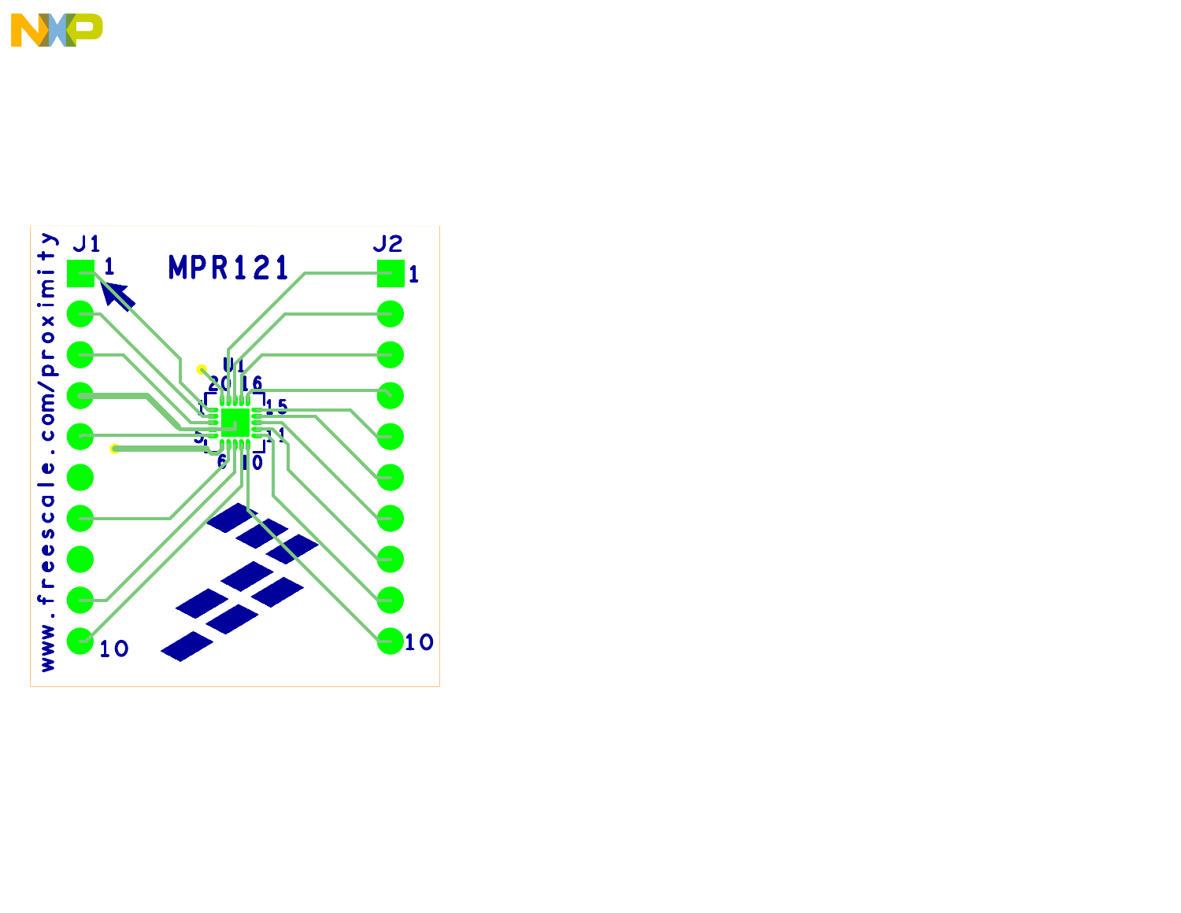

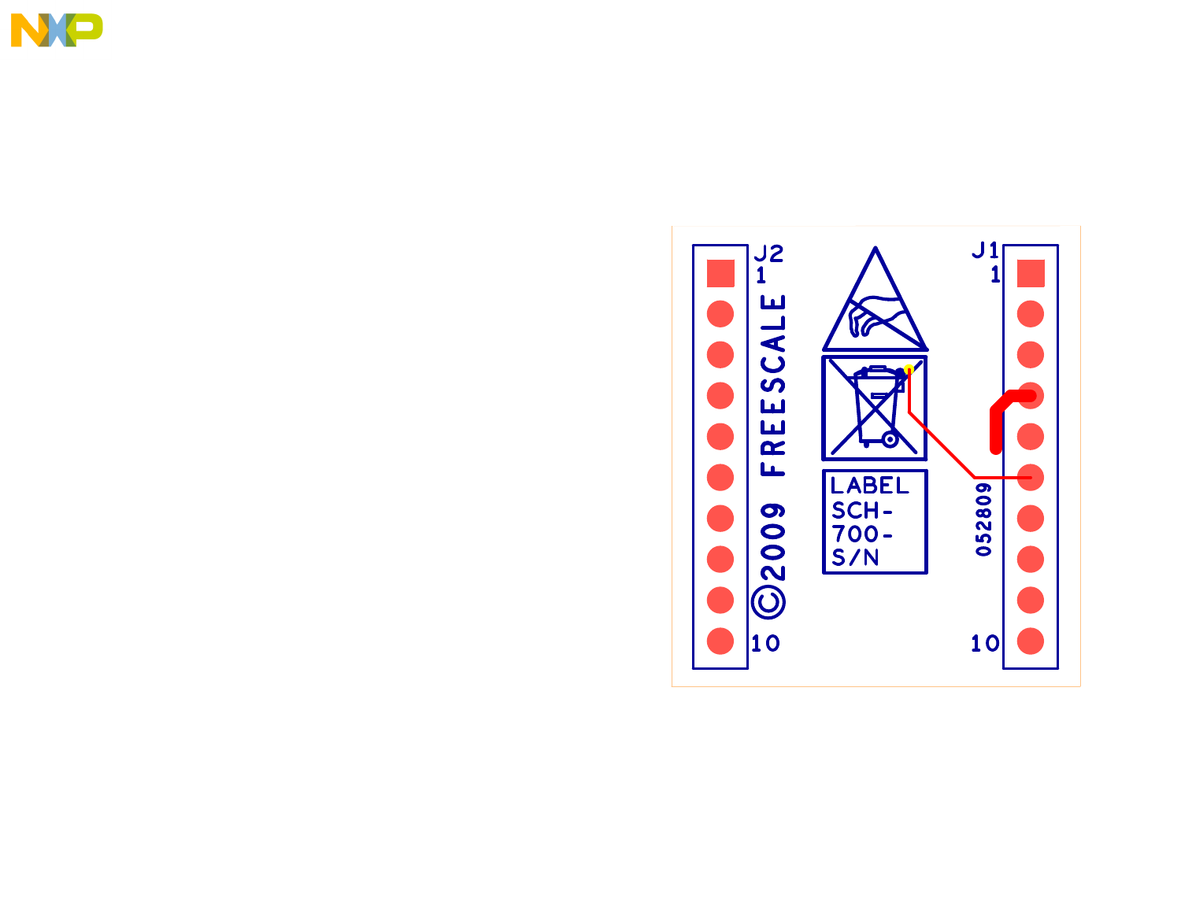

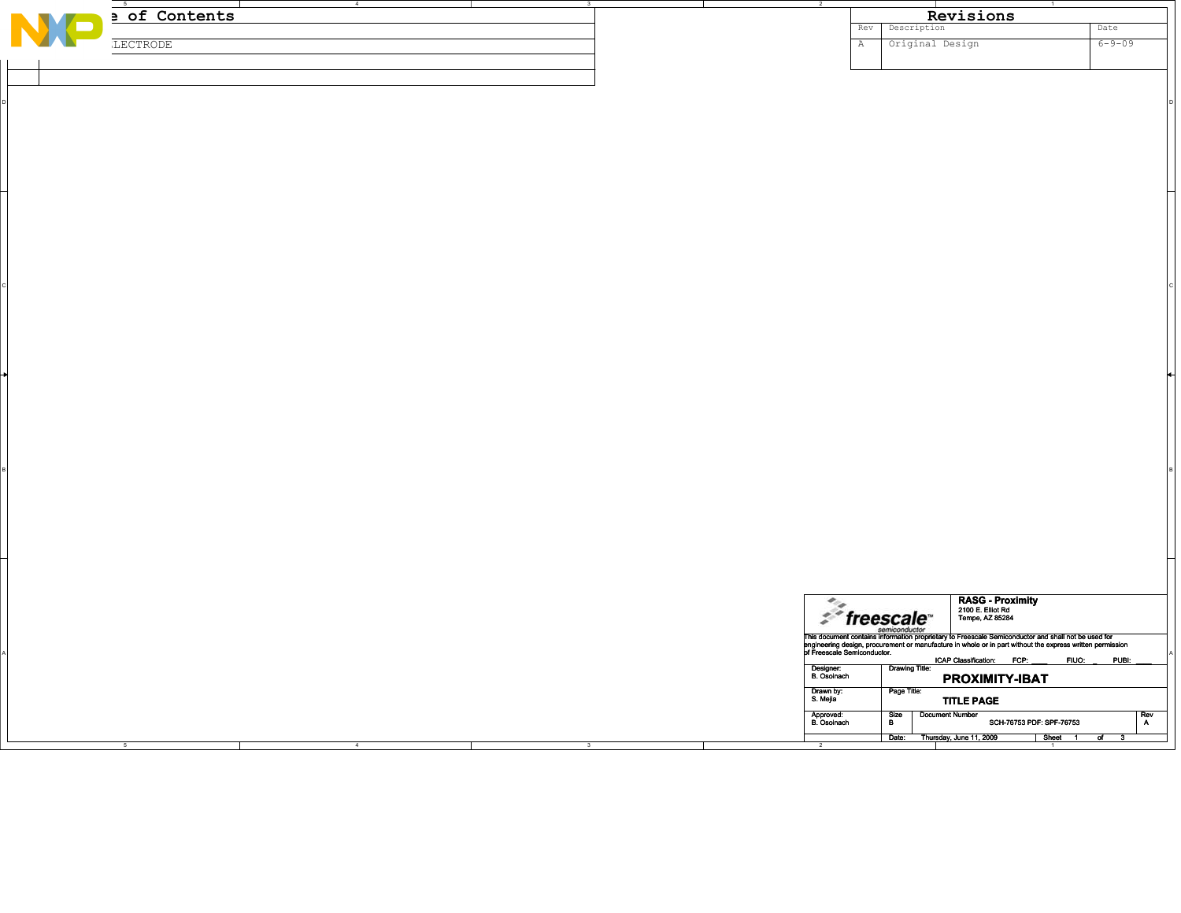|                          | 5                    | $\sim$ 4 | $\sim$ 1       | $\overline{\phantom{a}}$ |  | $\overline{2}$           |     | and the control of<br>$-1$                                                                                                                                                                                                           |              |
|--------------------------|----------------------|----------|----------------|--------------------------|--|--------------------------|-----|--------------------------------------------------------------------------------------------------------------------------------------------------------------------------------------------------------------------------------------|--------------|
| $\mathbf{R}$             | <u>a of Contents</u> |          |                |                          |  |                          |     | Revisions                                                                                                                                                                                                                            |              |
|                          |                      |          |                |                          |  |                          | Rev | Description                                                                                                                                                                                                                          | Date         |
|                          | LECTRODE             |          |                |                          |  |                          | A   | Original Design                                                                                                                                                                                                                      | $6 - 9 - 09$ |
|                          |                      |          |                |                          |  |                          |     |                                                                                                                                                                                                                                      |              |
|                          |                      |          |                |                          |  |                          |     |                                                                                                                                                                                                                                      |              |
| ьI                       |                      |          |                |                          |  |                          |     |                                                                                                                                                                                                                                      |              |
|                          |                      |          |                |                          |  |                          |     |                                                                                                                                                                                                                                      |              |
|                          |                      |          |                |                          |  |                          |     |                                                                                                                                                                                                                                      |              |
|                          |                      |          |                |                          |  |                          |     |                                                                                                                                                                                                                                      |              |
|                          |                      |          |                |                          |  |                          |     |                                                                                                                                                                                                                                      |              |
|                          |                      |          |                |                          |  |                          |     |                                                                                                                                                                                                                                      |              |
| $\overline{\phantom{a}}$ |                      |          |                |                          |  |                          |     |                                                                                                                                                                                                                                      |              |
|                          |                      |          |                |                          |  |                          |     |                                                                                                                                                                                                                                      |              |
|                          |                      |          |                |                          |  |                          |     |                                                                                                                                                                                                                                      |              |
|                          |                      |          |                |                          |  |                          |     |                                                                                                                                                                                                                                      |              |
|                          |                      |          |                |                          |  |                          |     |                                                                                                                                                                                                                                      |              |
|                          |                      |          |                |                          |  |                          |     |                                                                                                                                                                                                                                      |              |
|                          |                      |          |                |                          |  |                          |     |                                                                                                                                                                                                                                      |              |
| $\circ$                  |                      |          |                |                          |  |                          |     |                                                                                                                                                                                                                                      |              |
|                          |                      |          |                |                          |  |                          |     |                                                                                                                                                                                                                                      |              |
|                          |                      |          |                |                          |  |                          |     |                                                                                                                                                                                                                                      |              |
|                          |                      |          |                |                          |  |                          |     |                                                                                                                                                                                                                                      |              |
|                          |                      |          |                |                          |  |                          |     |                                                                                                                                                                                                                                      |              |
|                          |                      |          |                |                          |  |                          |     |                                                                                                                                                                                                                                      |              |
| ┪                        |                      |          |                |                          |  |                          |     |                                                                                                                                                                                                                                      |              |
|                          |                      |          |                |                          |  |                          |     |                                                                                                                                                                                                                                      |              |
|                          |                      |          |                |                          |  |                          |     |                                                                                                                                                                                                                                      |              |
|                          |                      |          |                |                          |  |                          |     |                                                                                                                                                                                                                                      |              |
|                          |                      |          |                |                          |  |                          |     |                                                                                                                                                                                                                                      |              |
|                          |                      |          |                |                          |  |                          |     |                                                                                                                                                                                                                                      |              |
| $\mathbf{B}$             |                      |          |                |                          |  |                          |     |                                                                                                                                                                                                                                      |              |
|                          |                      |          |                |                          |  |                          |     |                                                                                                                                                                                                                                      |              |
|                          |                      |          |                |                          |  |                          |     |                                                                                                                                                                                                                                      |              |
|                          |                      |          |                |                          |  |                          |     |                                                                                                                                                                                                                                      |              |
|                          |                      |          |                |                          |  |                          |     |                                                                                                                                                                                                                                      |              |
|                          |                      |          |                |                          |  |                          |     |                                                                                                                                                                                                                                      |              |
| $\overline{\phantom{a}}$ |                      |          |                |                          |  |                          |     |                                                                                                                                                                                                                                      |              |
|                          |                      |          |                |                          |  |                          |     |                                                                                                                                                                                                                                      |              |
|                          |                      |          |                |                          |  |                          |     |                                                                                                                                                                                                                                      |              |
|                          |                      |          |                |                          |  |                          |     | <b>RASG - Proximity</b><br>2100 E. Elliot Rd<br>Tempe, AZ 85284<br>$\mathscr{F}$ freescale                                                                                                                                           |              |
|                          |                      |          |                |                          |  |                          |     |                                                                                                                                                                                                                                      |              |
|                          |                      |          |                |                          |  |                          |     | This document contains information proprietary to Freescale Semiconductor and shall not be used for<br>shigheering design, procurement or manufacture in whole or in part without the express written permission<br>of Freescale Sem |              |
| A                        |                      |          |                |                          |  |                          |     | ICAP Classification: FCP:<br>FIUO:                                                                                                                                                                                                   | PUBI:        |
|                          |                      |          |                |                          |  | Designer:<br>B. Osoinach |     | <b>Drawing Title:</b>                                                                                                                                                                                                                |              |
|                          |                      |          |                |                          |  |                          |     | PROXIMITY-IBAT<br>Page Title:                                                                                                                                                                                                        |              |
|                          |                      |          |                |                          |  | Drawn by:<br>S. Mejia    |     | <b>TITLE PAGE</b>                                                                                                                                                                                                                    |              |
|                          |                      |          |                |                          |  | Approved:<br>B. Osoinach |     | Size<br>B<br>Document Number<br>SCH-76753 PDF: SPF-76753                                                                                                                                                                             | $R$ ev<br>A  |
|                          |                      |          |                |                          |  |                          |     |                                                                                                                                                                                                                                      |              |
|                          |                      |          | $\overline{A}$ |                          |  |                          |     | <b>Date:</b> Thursday, June 11, 2009   Sheet 1 of 3                                                                                                                                                                                  |              |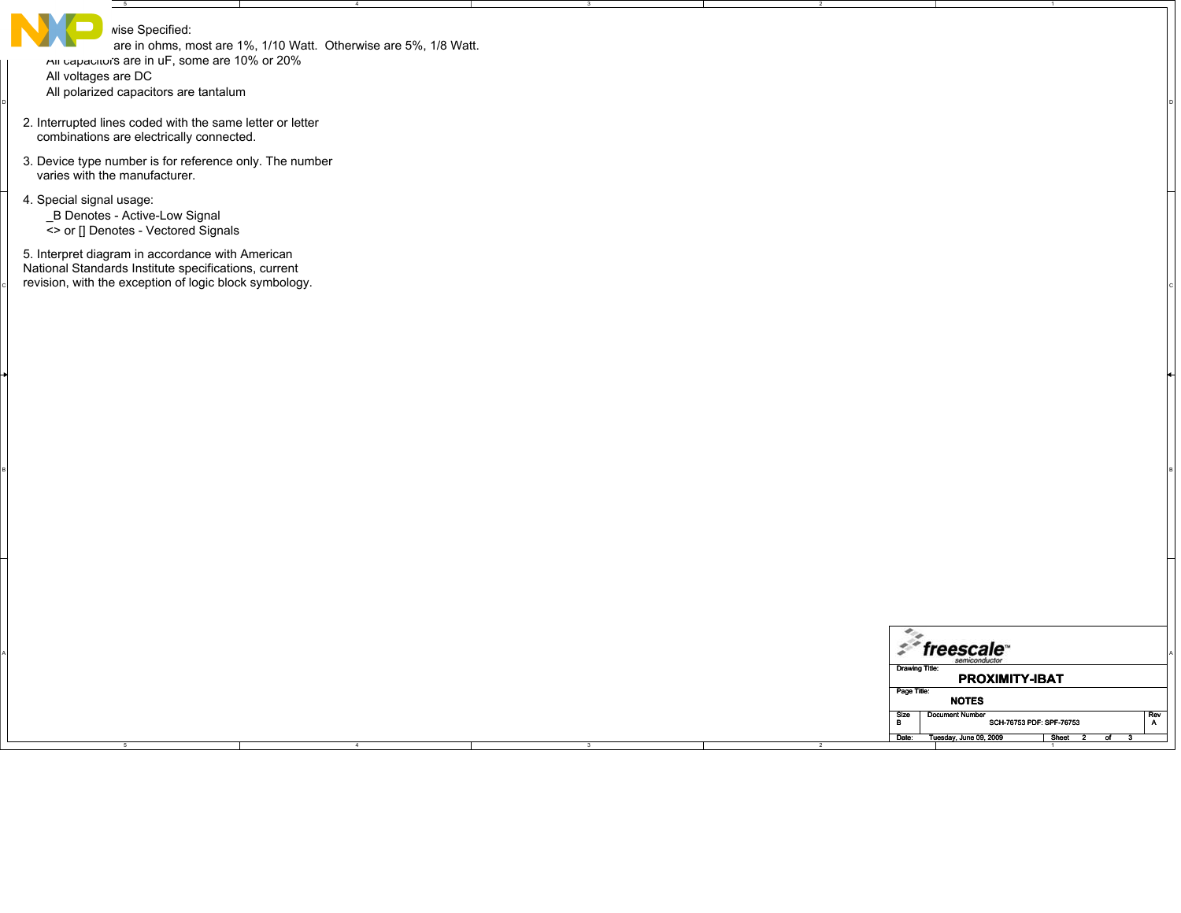| wise Specified:<br>are in ohms, most are 1%, 1/10 Watt. Otherwise are 5%, 1/8 Watt.<br>All capacitors are in uF, some are 10% or 20%<br>All voltages are DC<br>All polarized capacitors are tantalum |  |                                                                                                                                               |
|------------------------------------------------------------------------------------------------------------------------------------------------------------------------------------------------------|--|-----------------------------------------------------------------------------------------------------------------------------------------------|
| 2. Interrupted lines coded with the same letter or letter<br>combinations are electrically connected.                                                                                                |  |                                                                                                                                               |
| 3. Device type number is for reference only. The number<br>varies with the manufacturer.                                                                                                             |  |                                                                                                                                               |
| 4. Special signal usage:<br>_B Denotes - Active-Low Signal<br><> or [] Denotes - Vectored Signals                                                                                                    |  |                                                                                                                                               |
| 5. Interpret diagram in accordance with American<br>National Standards Institute specifications, current<br>revision, with the exception of logic block symbology.                                   |  |                                                                                                                                               |
|                                                                                                                                                                                                      |  |                                                                                                                                               |
|                                                                                                                                                                                                      |  |                                                                                                                                               |
|                                                                                                                                                                                                      |  |                                                                                                                                               |
|                                                                                                                                                                                                      |  |                                                                                                                                               |
|                                                                                                                                                                                                      |  |                                                                                                                                               |
|                                                                                                                                                                                                      |  |                                                                                                                                               |
|                                                                                                                                                                                                      |  |                                                                                                                                               |
|                                                                                                                                                                                                      |  | <i>F</i> freescale*                                                                                                                           |
|                                                                                                                                                                                                      |  | <b>Drawing Title:</b><br>PROXIMITY-IBAT<br>Page Title:<br><b>NOTES</b>                                                                        |
|                                                                                                                                                                                                      |  | <b>Document Number</b><br>$R$ ev<br>A<br>$rac{\text{Size}}{\text{B}}$<br>SCH-76753 PDF: SPF-76753<br>Date:<br>Tuesday, June 09, 2009<br>Sheet |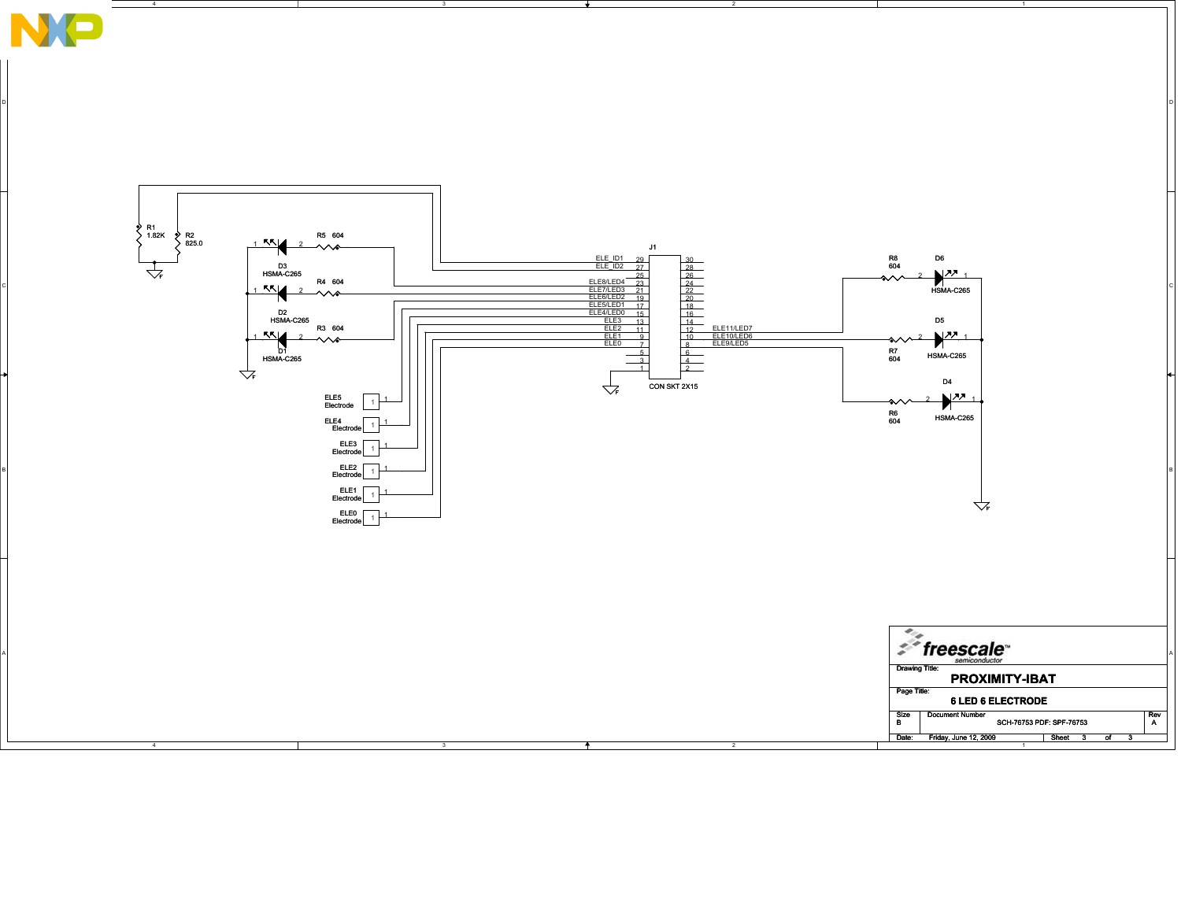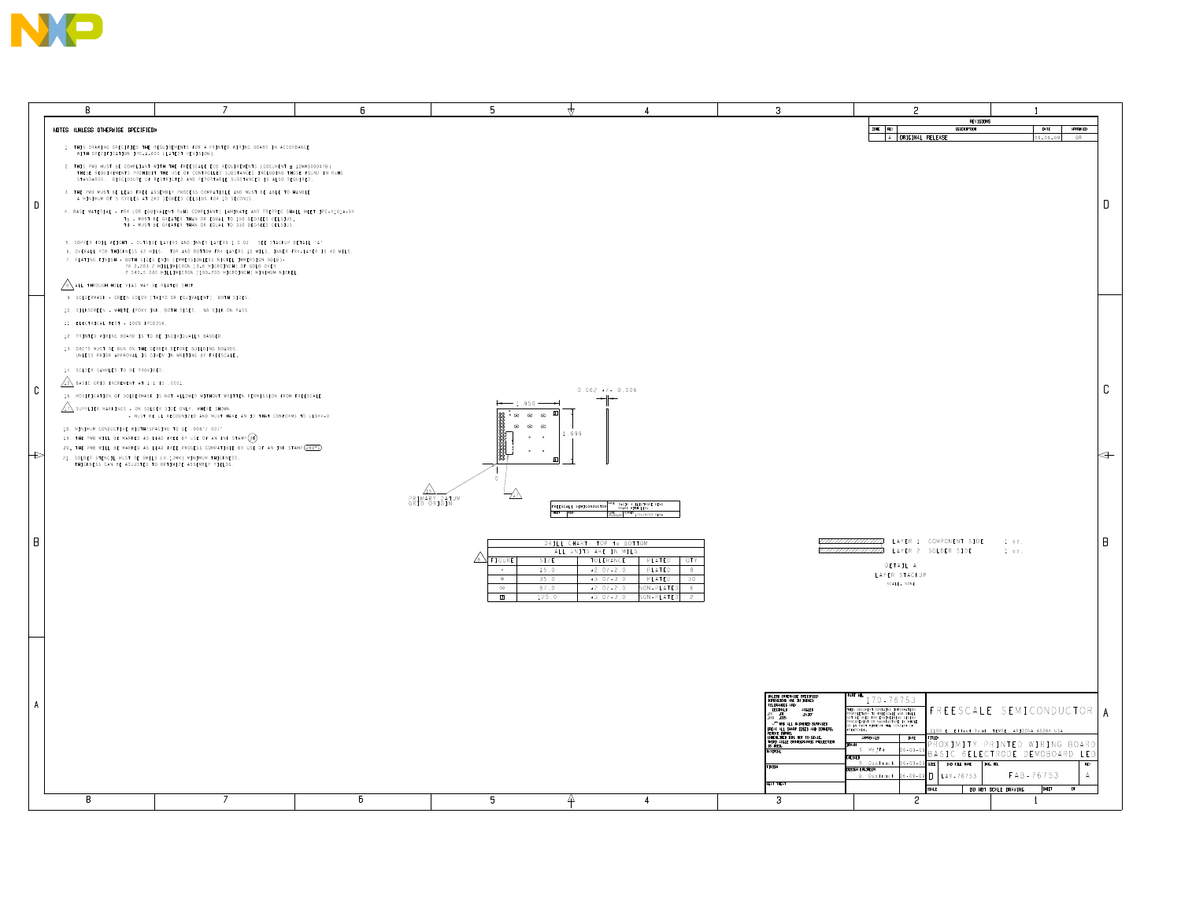

|                                        | 8                                                                                       | $\overline{7}$                                                                                                                                                                                                                                                                                                                                                                              | 6  | $5^{\circ}$                                                  | $\Delta$                                                                                                       | 3                                                                                                                                                                   | $\mathcal{P}$                                                                                                                                                                                            |                                |
|----------------------------------------|-----------------------------------------------------------------------------------------|---------------------------------------------------------------------------------------------------------------------------------------------------------------------------------------------------------------------------------------------------------------------------------------------------------------------------------------------------------------------------------------------|----|--------------------------------------------------------------|----------------------------------------------------------------------------------------------------------------|---------------------------------------------------------------------------------------------------------------------------------------------------------------------|----------------------------------------------------------------------------------------------------------------------------------------------------------------------------------------------------------|--------------------------------|
|                                        | NOTES (UNLESS OTHERWISE SPECIFIED):                                                     |                                                                                                                                                                                                                                                                                                                                                                                             |    |                                                              |                                                                                                                |                                                                                                                                                                     | REVISIONS<br>ZONE REV<br>DESCRIPTION                                                                                                                                                                     | DATE<br>APPROVED               |
|                                        | WITH SPECIFICATION IPC-A-600 (LATEST REVISION).                                         | 1. THIS DRAWING SPECIFIES THE REQUIREMENTS FOR A PRINTED WIRING BOARD IN ACCORDANCE                                                                                                                                                                                                                                                                                                         |    |                                                              |                                                                                                                |                                                                                                                                                                     | A ORIGINAL RELEASE                                                                                                                                                                                       | 06-09-09<br>OB                 |
|                                        |                                                                                         | 2. THIS PWB MUST BE COMPLIANT WITH THE FREESCALE ECO REQUIREMENTS (DOCUMENT # 12MWS00047B)<br>THESE REQUIREMENTS PROHIBIT THE USE OF CONTROLLED SUBSTANCES INCLUDING THOSE FOUND IN RoHS<br>STANDARDS. DISCLOSURE OF RESTRICTED AND REPORTABLE SUBSTANCES IS ALSO REQUIRED.                                                                                                                 |    |                                                              |                                                                                                                |                                                                                                                                                                     |                                                                                                                                                                                                          |                                |
| $\begin{array}{c} \square \end{array}$ |                                                                                         | 3. THE PWB MUST BE LEAD FREE ASSEMBLY PROCESS COMPATIBLE AND MUST BE ABLE TO HANDLE<br>A MINIMUM OF 5 CYCLES AT 260 DEGREES CELSIUS FOR 10 SECONDS.                                                                                                                                                                                                                                         |    |                                                              |                                                                                                                |                                                                                                                                                                     |                                                                                                                                                                                                          | $\Box$                         |
|                                        |                                                                                         | 4. BASE MATERIAL - FR4 (OR EQUIVALENT RoHS COMPLIANT) LAMINATE AND PREPREG SHALL MEET IPC-4101A-94<br>Tg - MUST BE GREATER THAN OR EQUAL TO 150 DEGREES CELSIUS.<br>Td - MUST BE GREATER THAN OR EQUAL TO 330 DEGREES CELSIUS.                                                                                                                                                              |    |                                                              |                                                                                                                |                                                                                                                                                                     |                                                                                                                                                                                                          |                                |
|                                        |                                                                                         | 5. COPPER FOIL WEIGHT - OUTSIDE LAYERS AND INNER LAYERS 1.0 OZ. SEE STACKUP DETAIL 'A'<br>6. OVERALL PCB THICKNESS 62 MILS. TOP AND BOTTOM FR4 LAYERS 10 MILS. INNER FR4-LAYER IS 40 MILS.<br>7. PLATING FINISH - BOTH SIDES ENIG (EMMERSIONLESS NICKEL IMMERSION GOLD):<br>76.2-203.2 MILLIMICRON (3-8 MICROINCH) OF GOLD OVER 2.540-5.080 MILLIMICRON (100-200 MICROINCH) NINIMUM NICKEL. |    |                                                              |                                                                                                                |                                                                                                                                                                     |                                                                                                                                                                                                          |                                |
|                                        | /B ALL THROUGH HOLE VIAS MAY BE PLATED SHUT.                                            | 9. SOLDERMASK - GREEN COLOR (TAIYO OR EQUIVALENT), BOTH SIDES.                                                                                                                                                                                                                                                                                                                              |    |                                                              |                                                                                                                |                                                                                                                                                                     |                                                                                                                                                                                                          |                                |
|                                        |                                                                                         | 10. SILKSCREEN - WHITE EPOXY INK, BOTH SIDES. NO SILK ON PADS.                                                                                                                                                                                                                                                                                                                              |    |                                                              |                                                                                                                |                                                                                                                                                                     |                                                                                                                                                                                                          |                                |
|                                        | 11. ELECTRICAL TEST - 100% IPCD356.                                                     |                                                                                                                                                                                                                                                                                                                                                                                             |    |                                                              |                                                                                                                |                                                                                                                                                                     |                                                                                                                                                                                                          |                                |
|                                        | 12. PRINTED WIRING BOARD IS TO BE INDIVIDUALLY BAGGED.                                  |                                                                                                                                                                                                                                                                                                                                                                                             |    |                                                              |                                                                                                                |                                                                                                                                                                     |                                                                                                                                                                                                          |                                |
|                                        | 13. DRC'S MUST BE RUN ON THE GERBER BEFORE BUILDING BOARDS.                             | UNLESS PRIOR APPROVAL IS GIVEN IN WRITING BY FREESCALE.                                                                                                                                                                                                                                                                                                                                     |    |                                                              |                                                                                                                |                                                                                                                                                                     |                                                                                                                                                                                                          |                                |
|                                        | 14. SOLDER SAMPLES TO BE PROVIDED.<br>$\sqrt{15}$ BASIC GRID INCREMENT AT 1:1 IS .0001. |                                                                                                                                                                                                                                                                                                                                                                                             |    |                                                              |                                                                                                                |                                                                                                                                                                     |                                                                                                                                                                                                          |                                |
| $\mathbb C$                            |                                                                                         | 16. NODIFICATION OF SOLDERMASK IS NOT ALLOWED WITHOUT WRITTEN PERMISSION FROM FREESCALE.                                                                                                                                                                                                                                                                                                    |    |                                                              | $0.062 +/- 0.006$                                                                                              |                                                                                                                                                                     |                                                                                                                                                                                                          | C                              |
|                                        | $\sqrt{17}$ SUPPLIER MARKINGS - ON SOLDER SIDE ONLY, WHERE SHOWN.                       | - MUST BE UL RECOGNIZED AND MUST HAVE AN ID THAT CONFORMS TO UL94V-0                                                                                                                                                                                                                                                                                                                        |    | $1.950 -$<br>$\blacksquare$<br>$\bullet$ $\bullet$ $\bullet$ |                                                                                                                |                                                                                                                                                                     |                                                                                                                                                                                                          |                                |
|                                        | 18. MINIMUM CONDUCTIVE WIDTH/SPACING TO BE .008"/.007"                                  | 19. THE PWB WILL BE MARKED AS LEAD FREE BY USE OF AN INK STAMP (PG)                                                                                                                                                                                                                                                                                                                         |    | <b>© © ©</b><br>$\sim$ $\sim$                                | 1.699                                                                                                          |                                                                                                                                                                     |                                                                                                                                                                                                          |                                |
|                                        |                                                                                         | 20. THE PWB WILL BE MARKED AS LEAD FREE PROCESS COMPATIBLE BY USE OF AN INK STAMP (260°C)                                                                                                                                                                                                                                                                                                   |    | $\bullet$ . $\bullet$                                        |                                                                                                                |                                                                                                                                                                     |                                                                                                                                                                                                          | ⇐                              |
| ┾                                      | 21. SOLDER STENCIL MUST BE SMILS (0.13MM) MININUM THICKNESS.                            | THICKNESS CAN BE ADJUSTED TO OPTIMIZE ASSEMBLY YIELDS.                                                                                                                                                                                                                                                                                                                                      |    |                                                              |                                                                                                                |                                                                                                                                                                     |                                                                                                                                                                                                          |                                |
|                                        |                                                                                         |                                                                                                                                                                                                                                                                                                                                                                                             |    |                                                              |                                                                                                                |                                                                                                                                                                     |                                                                                                                                                                                                          |                                |
|                                        |                                                                                         |                                                                                                                                                                                                                                                                                                                                                                                             |    | γγγ<br><b><i>ERIMARY DATUM</i></b>                           |                                                                                                                |                                                                                                                                                                     |                                                                                                                                                                                                          |                                |
|                                        |                                                                                         |                                                                                                                                                                                                                                                                                                                                                                                             |    | sect Fruit                                                   | <b>AASIC &amp; ELECTRODE DEND<br/>BOARD WITH LEDs</b><br>FREESCALE SENICONDUCTOR<br>BATE BANGER 170-76753 REVA |                                                                                                                                                                     |                                                                                                                                                                                                          |                                |
|                                        |                                                                                         |                                                                                                                                                                                                                                                                                                                                                                                             |    |                                                              |                                                                                                                |                                                                                                                                                                     |                                                                                                                                                                                                          |                                |
| $\sf B$                                |                                                                                         |                                                                                                                                                                                                                                                                                                                                                                                             |    |                                                              | DRILL CHART: TOP to BOTTOM                                                                                     |                                                                                                                                                                     | <u> 27777777777777777777</u><br>LAYER 1 COMPONENT SIDE                                                                                                                                                   | B<br>$1 \cdot 0 \cdot z$       |
|                                        |                                                                                         |                                                                                                                                                                                                                                                                                                                                                                                             |    | $\sqrt{8}$ FIGURE<br>SIZE                                    | ALL UNITS ARE IN MILS<br>TOLERANCE<br>PLATED<br>OTY                                                            |                                                                                                                                                                     | DETAIL A                                                                                                                                                                                                 | $1 \cdot 02$ .                 |
|                                        |                                                                                         |                                                                                                                                                                                                                                                                                                                                                                                             |    | 15.0<br>$\sim$<br>35.0<br>$\bullet$                          | PLATED<br>$+2.0/-2.0$<br>$\bullet$<br>PLATED<br>$+3.0/-3.0$<br>30 <sub>o</sub>                                 |                                                                                                                                                                     | LAYER STACKUP<br>SCALE: NONE                                                                                                                                                                             |                                |
|                                        |                                                                                         |                                                                                                                                                                                                                                                                                                                                                                                             |    | $^{\circ}$<br>87.0<br>$\blacksquare$<br>125.0                | $+2.0/-2.0$<br>NON-PLATED<br>$6 -$<br>$+3.0/-3.0$<br>NON-PLATED<br>$\overline{c}$                              |                                                                                                                                                                     |                                                                                                                                                                                                          |                                |
|                                        |                                                                                         |                                                                                                                                                                                                                                                                                                                                                                                             |    |                                                              |                                                                                                                |                                                                                                                                                                     |                                                                                                                                                                                                          |                                |
|                                        |                                                                                         |                                                                                                                                                                                                                                                                                                                                                                                             |    |                                                              |                                                                                                                |                                                                                                                                                                     |                                                                                                                                                                                                          |                                |
|                                        |                                                                                         |                                                                                                                                                                                                                                                                                                                                                                                             |    |                                                              |                                                                                                                |                                                                                                                                                                     |                                                                                                                                                                                                          |                                |
|                                        |                                                                                         |                                                                                                                                                                                                                                                                                                                                                                                             |    |                                                              |                                                                                                                |                                                                                                                                                                     |                                                                                                                                                                                                          |                                |
|                                        |                                                                                         |                                                                                                                                                                                                                                                                                                                                                                                             |    |                                                              |                                                                                                                |                                                                                                                                                                     |                                                                                                                                                                                                          |                                |
| $\mathsf{A}$                           |                                                                                         |                                                                                                                                                                                                                                                                                                                                                                                             |    |                                                              |                                                                                                                |                                                                                                                                                                     | $170 - 76753$                                                                                                                                                                                            |                                |
|                                        |                                                                                         |                                                                                                                                                                                                                                                                                                                                                                                             |    |                                                              |                                                                                                                |                                                                                                                                                                     | THIS DOCUMENT CONTAINS INFORMATION<br>PROPRIETARY TO FREESCALE AND SHALL<br>NOT BE USED FOR ENSIMEERING DESIGN<br>PROCUMENENT OR NAHUFACTURE IN NHOLE<br>OR IN PART WITHOUT THE CONSENT OF<br>PREESCALE. | FREESCALE SEMICONDUCTOR   A    |
|                                        |                                                                                         |                                                                                                                                                                                                                                                                                                                                                                                             |    |                                                              |                                                                                                                | T RIS ALL MICHDED SURFACES<br>BREAK ALL SAMP EDGES AND CORNERS,<br>RENOVE BLARS,<br>UNION AND DIN, NOT TO SCALE,<br>THIRD ANDLE ORINGDRAPHIC PROJECTION<br>IS USED, | 2100 E. Elliet Read, TEMPE, ARIZONA 85284 USA                                                                                                                                                            |                                |
|                                        |                                                                                         |                                                                                                                                                                                                                                                                                                                                                                                             |    |                                                              |                                                                                                                |                                                                                                                                                                     | <b>APPROVALS</b><br>DATE<br>S. Mejia<br>06-09-09 BASIC 6ELECTRODE DEMOBOARD LED                                                                                                                          | PROXIMITY PRINTED WIRING BOARD |
|                                        |                                                                                         |                                                                                                                                                                                                                                                                                                                                                                                             |    |                                                              |                                                                                                                | $\overline{\phantom{a}}$                                                                                                                                            | <b>FOXED</b><br>DAG, NO.                                                                                                                                                                                 | REV                            |
|                                        |                                                                                         |                                                                                                                                                                                                                                                                                                                                                                                             |    |                                                              |                                                                                                                | <b>HEAT THEAT</b>                                                                                                                                                   | B. Oscinach 06-09-09   LAY-76753                                                                                                                                                                         | A<br>FAB-76753                 |
|                                        | 8                                                                                       |                                                                                                                                                                                                                                                                                                                                                                                             | 6. | 5                                                            | $\boldsymbol{\Lambda}$                                                                                         | 3                                                                                                                                                                   | SCALE<br>DO NOT SCALE DRAWING<br>$\overline{c}$                                                                                                                                                          | SHEET<br>$\frac{1}{2}$<br>1    |
|                                        |                                                                                         |                                                                                                                                                                                                                                                                                                                                                                                             |    |                                                              |                                                                                                                |                                                                                                                                                                     |                                                                                                                                                                                                          |                                |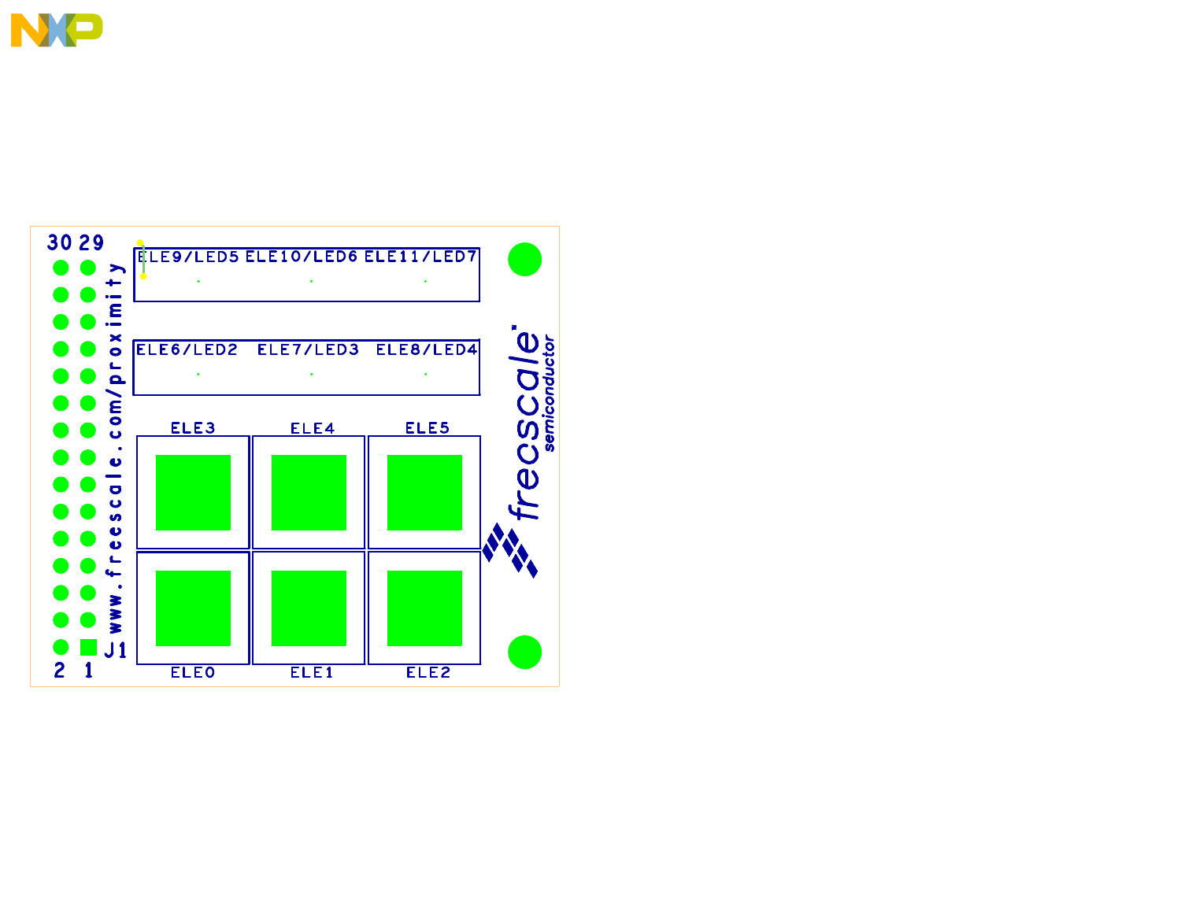

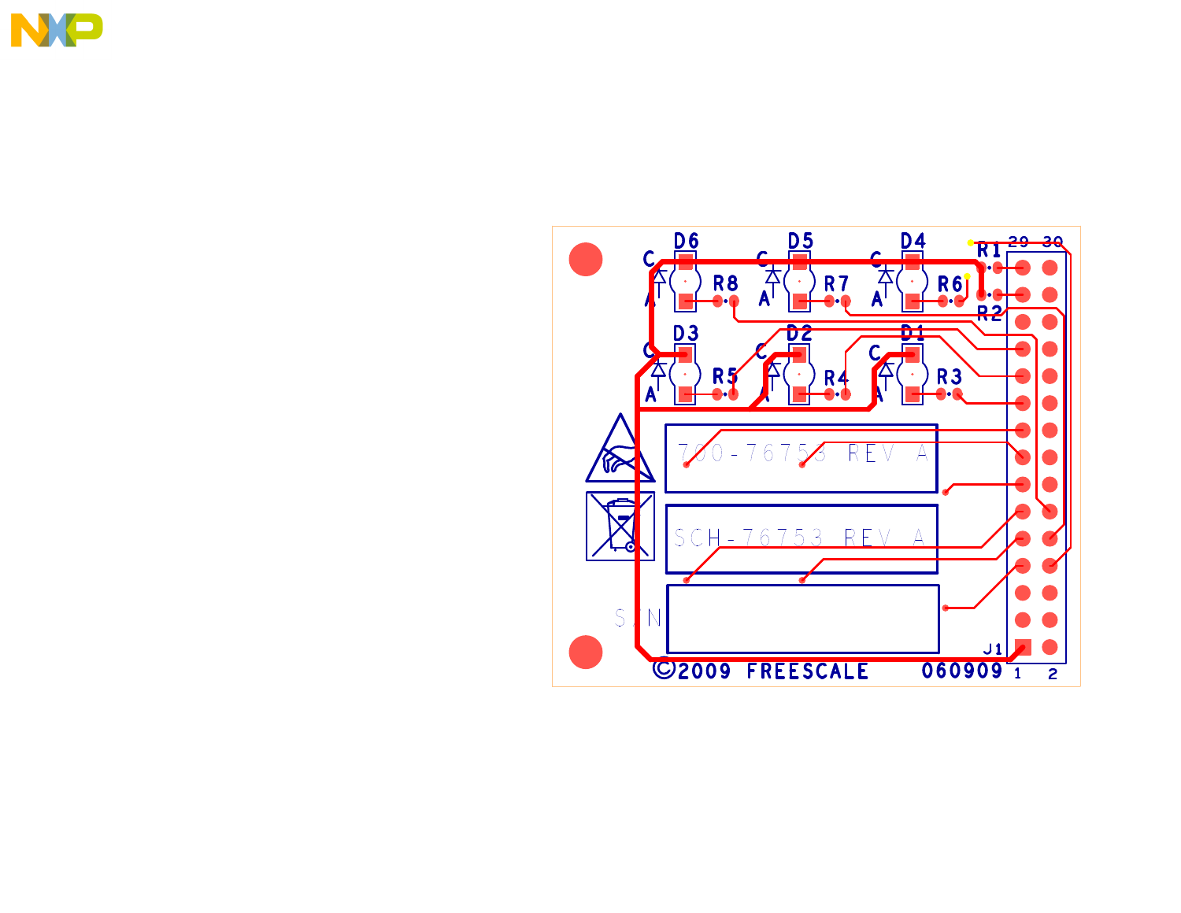

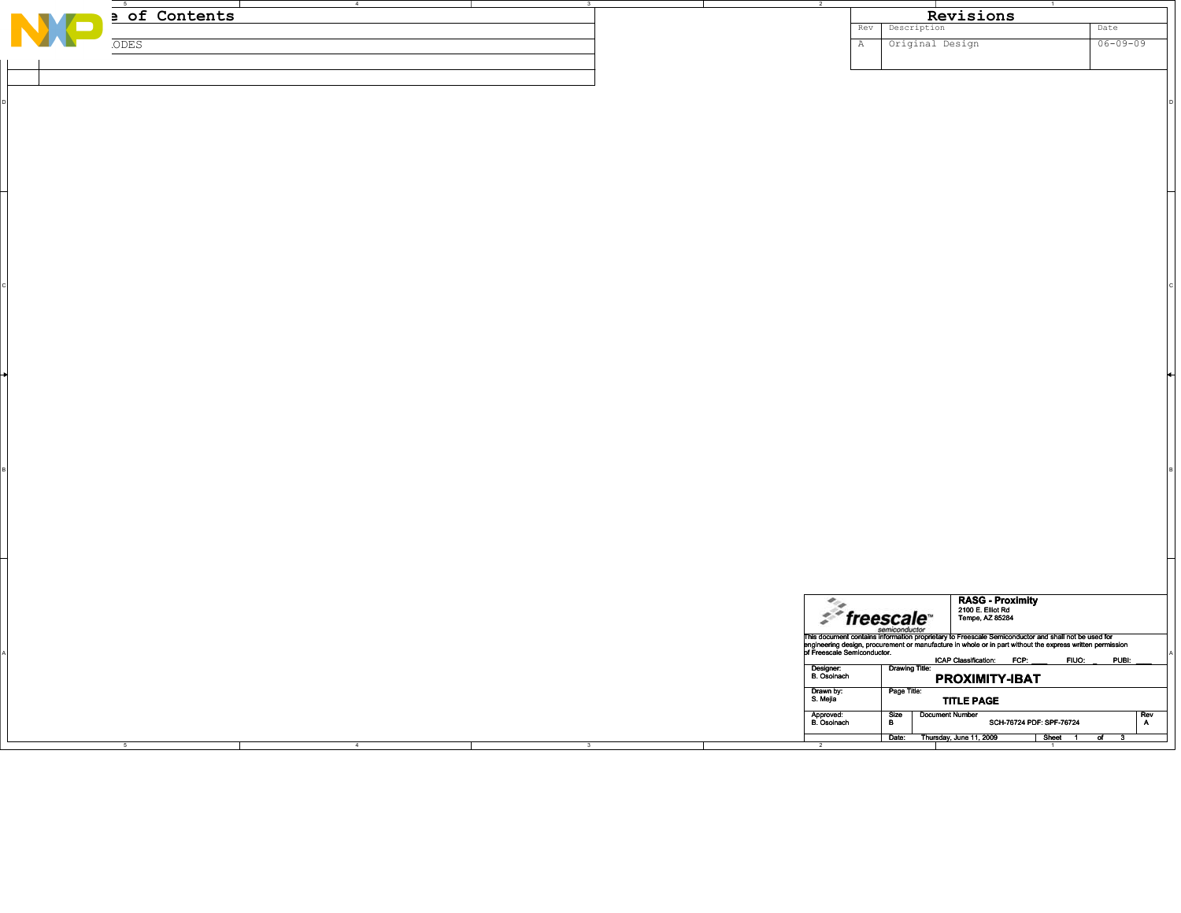|                          | $\frac{5}{2}$<br><u>a of Contents</u> | $4 -$          | $\overline{\phantom{a}3}$ |  | $\overline{2}$           | <b>Contract Contract</b>            | $\overline{1}$<br>Revisions                                                                                                                                                                                                          |                |
|--------------------------|---------------------------------------|----------------|---------------------------|--|--------------------------|-------------------------------------|--------------------------------------------------------------------------------------------------------------------------------------------------------------------------------------------------------------------------------------|----------------|
| $\blacksquare$           |                                       |                |                           |  | Rev                      | Description                         |                                                                                                                                                                                                                                      | Date           |
|                          | ODES                                  |                |                           |  | $\overline{A}$           | Original Design                     |                                                                                                                                                                                                                                      | $06 - 09 - 09$ |
|                          |                                       |                |                           |  |                          |                                     |                                                                                                                                                                                                                                      |                |
|                          |                                       |                |                           |  |                          |                                     |                                                                                                                                                                                                                                      |                |
| D.                       |                                       |                |                           |  |                          |                                     |                                                                                                                                                                                                                                      |                |
|                          |                                       |                |                           |  |                          |                                     |                                                                                                                                                                                                                                      |                |
|                          |                                       |                |                           |  |                          |                                     |                                                                                                                                                                                                                                      |                |
|                          |                                       |                |                           |  |                          |                                     |                                                                                                                                                                                                                                      |                |
|                          |                                       |                |                           |  |                          |                                     |                                                                                                                                                                                                                                      |                |
|                          |                                       |                |                           |  |                          |                                     |                                                                                                                                                                                                                                      |                |
| $\overline{\phantom{a}}$ |                                       |                |                           |  |                          |                                     |                                                                                                                                                                                                                                      |                |
|                          |                                       |                |                           |  |                          |                                     |                                                                                                                                                                                                                                      |                |
|                          |                                       |                |                           |  |                          |                                     |                                                                                                                                                                                                                                      |                |
|                          |                                       |                |                           |  |                          |                                     |                                                                                                                                                                                                                                      |                |
|                          |                                       |                |                           |  |                          |                                     |                                                                                                                                                                                                                                      |                |
| $\circ$                  |                                       |                |                           |  |                          |                                     |                                                                                                                                                                                                                                      |                |
|                          |                                       |                |                           |  |                          |                                     |                                                                                                                                                                                                                                      |                |
|                          |                                       |                |                           |  |                          |                                     |                                                                                                                                                                                                                                      |                |
|                          |                                       |                |                           |  |                          |                                     |                                                                                                                                                                                                                                      |                |
|                          |                                       |                |                           |  |                          |                                     |                                                                                                                                                                                                                                      |                |
| $\vdash$                 |                                       |                |                           |  |                          |                                     |                                                                                                                                                                                                                                      |                |
|                          |                                       |                |                           |  |                          |                                     |                                                                                                                                                                                                                                      |                |
|                          |                                       |                |                           |  |                          |                                     |                                                                                                                                                                                                                                      |                |
|                          |                                       |                |                           |  |                          |                                     |                                                                                                                                                                                                                                      |                |
|                          |                                       |                |                           |  |                          |                                     |                                                                                                                                                                                                                                      |                |
|                          |                                       |                |                           |  |                          |                                     |                                                                                                                                                                                                                                      |                |
| $\mathbf{B}$             |                                       |                |                           |  |                          |                                     |                                                                                                                                                                                                                                      |                |
|                          |                                       |                |                           |  |                          |                                     |                                                                                                                                                                                                                                      |                |
|                          |                                       |                |                           |  |                          |                                     |                                                                                                                                                                                                                                      |                |
|                          |                                       |                |                           |  |                          |                                     |                                                                                                                                                                                                                                      |                |
|                          |                                       |                |                           |  |                          |                                     |                                                                                                                                                                                                                                      |                |
| $\overline{\phantom{a}}$ |                                       |                |                           |  |                          |                                     |                                                                                                                                                                                                                                      |                |
|                          |                                       |                |                           |  |                          |                                     |                                                                                                                                                                                                                                      |                |
|                          |                                       |                |                           |  |                          |                                     |                                                                                                                                                                                                                                      |                |
|                          |                                       |                |                           |  |                          | $\mathcal{F}$ freescale             | <b>RASG - Proximity</b><br>2100 E. Elliot Rd<br>Tempe, AZ 85284                                                                                                                                                                      |                |
|                          |                                       |                |                           |  |                          | semiconductor                       |                                                                                                                                                                                                                                      |                |
| A                        |                                       |                |                           |  |                          |                                     | This document contains information proprietary to Freescale Semiconductor and shall not be used for<br>engineering design, procurement or manufacture in whole or in part without the express written permission<br>of Freescale Sem |                |
|                          |                                       |                |                           |  | Designer:<br>B. Osoinach | <b>Drawing Title:</b>               | ICAP Classification: FCP:<br>FIUO:                                                                                                                                                                                                   | PUBI:          |
|                          |                                       |                |                           |  |                          |                                     | PROXIMITY-IBAT                                                                                                                                                                                                                       |                |
|                          |                                       |                |                           |  | Drawn by:<br>S. Mejia    | Page Title:                         | <b>TITLE PAGE</b>                                                                                                                                                                                                                    |                |
|                          |                                       |                |                           |  | Approved:<br>B. Osoinach | Size<br>B<br><b>Document Number</b> | SCH-76724 PDF: SPF-76724                                                                                                                                                                                                             | $R$ ev<br>A    |
|                          |                                       | $\overline{A}$ |                           |  |                          |                                     | Date: Thursday, June 11, 2009   Sheet 1 of 3                                                                                                                                                                                         |                |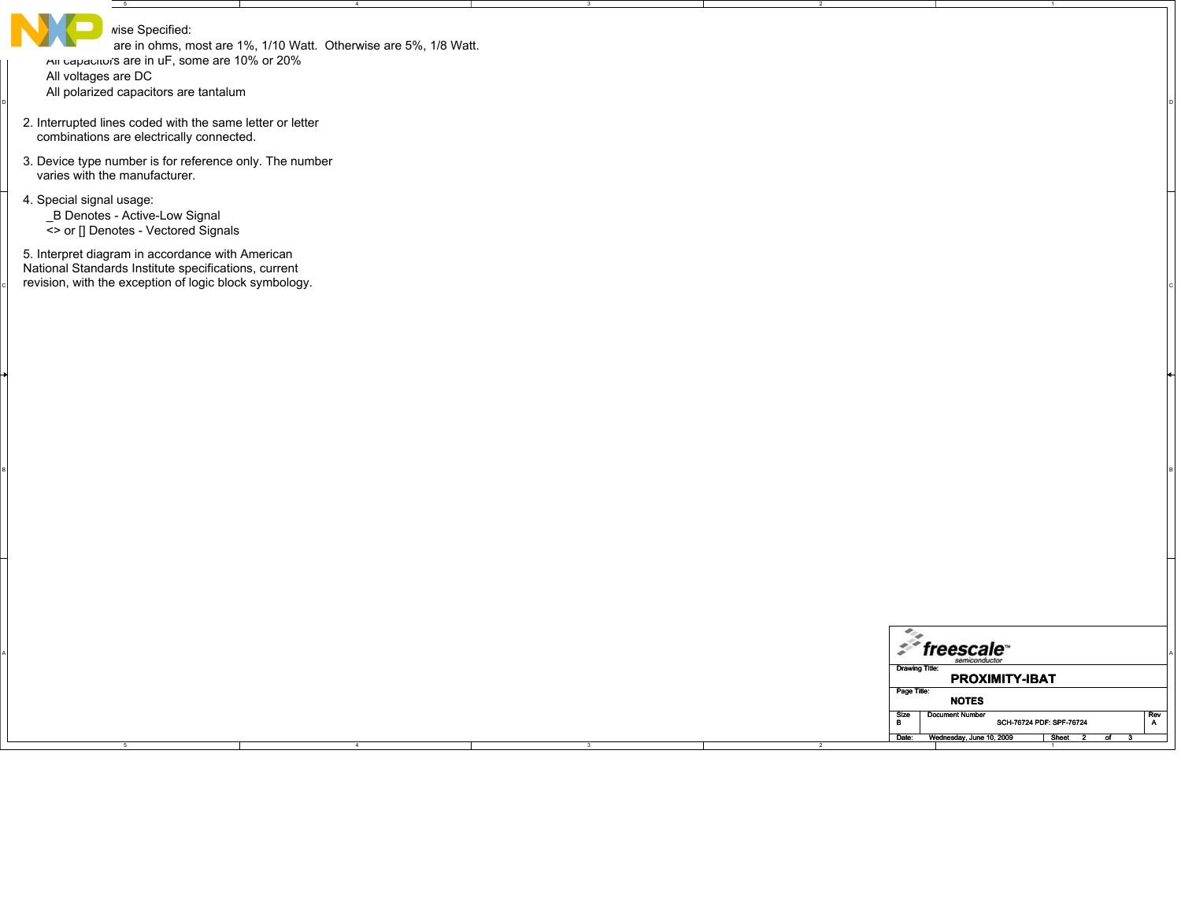| wise Specified:<br>All capacitor's are in uF, some are 10% or 20%<br>All voltages are DC<br>All polarized capacitors are tantalum                                  | are in ohms, most are 1%, 1/10 Watt. Otherwise are 5%, 1/8 Watt. |  |  |                                       |                                                                         |                                   |
|--------------------------------------------------------------------------------------------------------------------------------------------------------------------|------------------------------------------------------------------|--|--|---------------------------------------|-------------------------------------------------------------------------|-----------------------------------|
| 2. Interrupted lines coded with the same letter or letter<br>combinations are electrically connected.<br>3. Device type number is for reference only. The number   |                                                                  |  |  |                                       |                                                                         |                                   |
| varies with the manufacturer.                                                                                                                                      |                                                                  |  |  |                                       |                                                                         |                                   |
| 4. Special signal usage:<br>_B Denotes - Active-Low Signal<br><> or [] Denotes - Vectored Signals                                                                  |                                                                  |  |  |                                       |                                                                         |                                   |
| 5. Interpret diagram in accordance with American<br>National Standards Institute specifications, current<br>revision, with the exception of logic block symbology. |                                                                  |  |  |                                       |                                                                         |                                   |
|                                                                                                                                                                    |                                                                  |  |  |                                       |                                                                         |                                   |
|                                                                                                                                                                    |                                                                  |  |  |                                       |                                                                         |                                   |
|                                                                                                                                                                    |                                                                  |  |  |                                       |                                                                         |                                   |
|                                                                                                                                                                    |                                                                  |  |  |                                       | ٠.                                                                      |                                   |
|                                                                                                                                                                    |                                                                  |  |  |                                       | $z^*$ freescale<br><b>Drawing Title:</b><br>PROXIMITY-IBAT              |                                   |
|                                                                                                                                                                    |                                                                  |  |  |                                       | Page Title:<br><b>NOTES</b>                                             |                                   |
|                                                                                                                                                                    |                                                                  |  |  | $rac{\text{Size}}{\text{B}}$<br>Date: | Document Number<br>SCH-76724 PDF: SPF-76724<br>Wednesday, June 10, 2009 | $R$ ev<br>A<br>$\sqrt{3}$ Sheet 2 |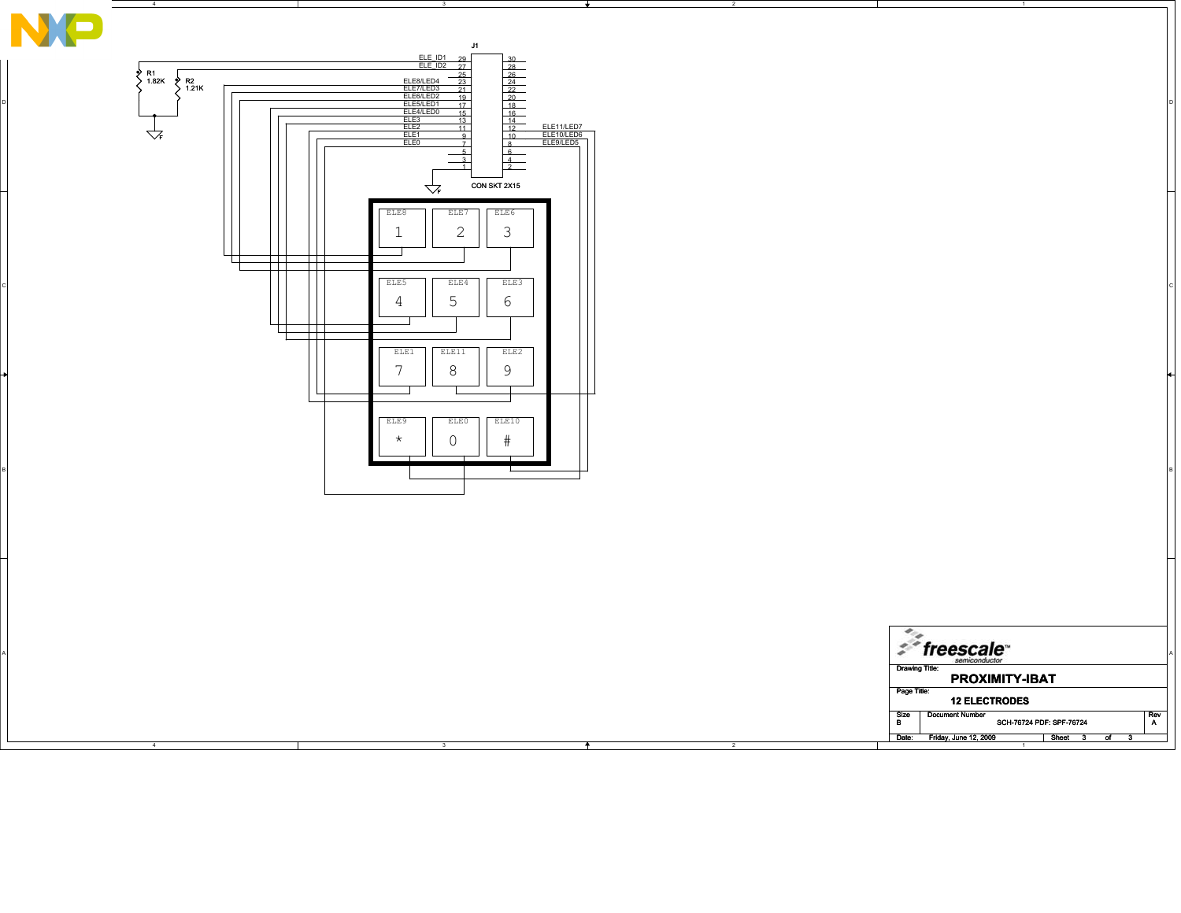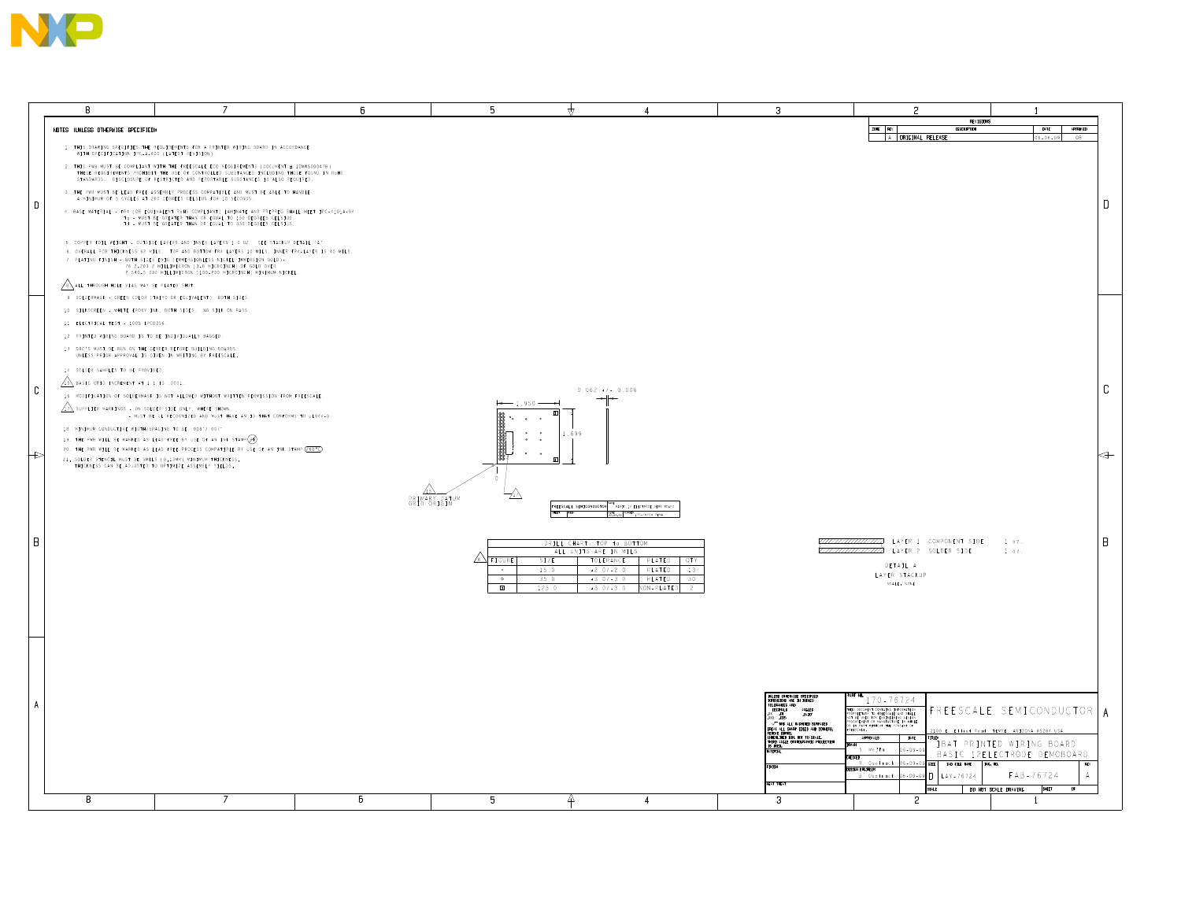

|                                        | 8                                                                                                                     | $\overline{7}$                                                                                                                                                                                                                                                                                                                                                                          | 6  | $5^{\circ}$                                                | $\Delta$                                                   | 3                                                                                                                                          | $\mathcal{P}$                                                                                                                                                                                            |                                                                            |
|----------------------------------------|-----------------------------------------------------------------------------------------------------------------------|-----------------------------------------------------------------------------------------------------------------------------------------------------------------------------------------------------------------------------------------------------------------------------------------------------------------------------------------------------------------------------------------|----|------------------------------------------------------------|------------------------------------------------------------|--------------------------------------------------------------------------------------------------------------------------------------------|----------------------------------------------------------------------------------------------------------------------------------------------------------------------------------------------------------|----------------------------------------------------------------------------|
|                                        | NOTES (UNLESS OTHERWISE SPECIFIED):                                                                                   |                                                                                                                                                                                                                                                                                                                                                                                         |    |                                                            |                                                            |                                                                                                                                            | REVISIONS<br>ZONE REV<br>DESCRIPTION                                                                                                                                                                     | DATE<br>APPROVED                                                           |
|                                        | WITH SPECIFICATION IPC-A-600 (LATEST REVISION).                                                                       | 1. THIS DRAWING SPECIFIES THE REQUIREMENTS FOR A PRINTED WIRING BOARD IN ACCORDANCE                                                                                                                                                                                                                                                                                                     |    |                                                            |                                                            |                                                                                                                                            | A   ORIGINAL RELEASE                                                                                                                                                                                     | 06-06-09<br>OB                                                             |
|                                        |                                                                                                                       | 2. THIS PWB MUST BE COMPLIANT WITH THE FREESCALE ECO REQUIREMENTS (DOCUMENT # 12MWS00047B)<br>THESE REQUIREMENTS PROHIBIT THE USE OF CONTROLLED SUBSTANCES INCLUDING THOSE FOUND IN RoHS<br>STANDARDS. DISCLOSURE OF RESTRICTED AND REPORTABLE SUBSTANCES IS ALSO REQUIRED.                                                                                                             |    |                                                            |                                                            |                                                                                                                                            |                                                                                                                                                                                                          |                                                                            |
| $\begin{array}{c} \square \end{array}$ |                                                                                                                       | 3. THE PWB MUST BE LEAD FREE ASSEMBLY PROCESS COMPATIBLE AND MUST BE ABLE TO HANDLE<br>A MINIMUM OF 5 CYCLES AT 260 DEGREES CELSIUS FOR 10 SECONDS.                                                                                                                                                                                                                                     |    |                                                            |                                                            |                                                                                                                                            |                                                                                                                                                                                                          | $\Box$                                                                     |
|                                        |                                                                                                                       | 4. BASE MATERIAL - FR4 (OR EQUIVALENT RoHS COMPLIANT) LAMINATE AND PREPREG SHALL MEET IPC-4101A-94<br>Tg - MUST BE GREATER THAN OR EQUAL TO 150 DEGREES CELSIUS.<br>Td - MUST BE GREATER THAN OR EQUAL TO 330 DEGREES CELSIUS.                                                                                                                                                          |    |                                                            |                                                            |                                                                                                                                            |                                                                                                                                                                                                          |                                                                            |
|                                        |                                                                                                                       | 5. COPPER FOIL WEIGHT - OUTSIDE LAYERS AND INNER LAYERS 1.0 OZ. SEE STACKUP DETAIL 'A'<br>6. OVERALL PCB THICKNESS 62 MILS. TOP AND BOTTOM FR4 LAYERS 10 MILS. INNER FR4-LAYER IS 40 MILS.<br>7. PLATING FINISH - BOTH SIDES ENIG (EMMERSIONLESS NICKEL IMMERSION GOLD):<br>76.2-203.2 MILLIMICRON (3-8 MICROINCH) OF GOLD OVER 2.540-5.080 MILLIMICRON (3-8 MICROINCH) MINIMUM NICKEL. |    |                                                            |                                                            |                                                                                                                                            |                                                                                                                                                                                                          |                                                                            |
|                                        | /B ALL THROUGH HOLE VIAS MAY BE PLATED SHUT.                                                                          | 9. SOLDERMASK - GREEN COLOR (TAIYO OR EQUIVALENT), BOTH SIDES,                                                                                                                                                                                                                                                                                                                          |    |                                                            |                                                            |                                                                                                                                            |                                                                                                                                                                                                          |                                                                            |
|                                        |                                                                                                                       | 10. SILKSCREEN - WHITE EPOXY INK, BOTH SIDES. NO SILK ON PADS.                                                                                                                                                                                                                                                                                                                          |    |                                                            |                                                            |                                                                                                                                            |                                                                                                                                                                                                          |                                                                            |
|                                        | 11. ELECTRICAL TEST - 100% IPCD356.                                                                                   |                                                                                                                                                                                                                                                                                                                                                                                         |    |                                                            |                                                            |                                                                                                                                            |                                                                                                                                                                                                          |                                                                            |
|                                        | 12. PRINTED WIRING BOARD IS TO BE INDIVIDUALLY BAGGED.<br>13. DRC'S MUST BE RUN ON THE GERBER BEFORE BUILDING BOARDS. |                                                                                                                                                                                                                                                                                                                                                                                         |    |                                                            |                                                            |                                                                                                                                            |                                                                                                                                                                                                          |                                                                            |
|                                        |                                                                                                                       | UNLESS PRIOR APPROVAL IS GIVEN IN WRITING BY FREESCALE.                                                                                                                                                                                                                                                                                                                                 |    |                                                            |                                                            |                                                                                                                                            |                                                                                                                                                                                                          |                                                                            |
|                                        | 14. SOLDER SAMPLES TO BE PROVIDED.<br>$\sqrt{15}$ BASIC GRID INCREMENT AT 1:1 IS .0001.                               |                                                                                                                                                                                                                                                                                                                                                                                         |    |                                                            |                                                            |                                                                                                                                            |                                                                                                                                                                                                          |                                                                            |
| $\mathbb C$                            |                                                                                                                       | 16. NODIFICATION OF SOLDERMASK IS NOT ALLOWED WITHOUT WRITTEN PERMISSION FROM FREESCALE.                                                                                                                                                                                                                                                                                                |    |                                                            | $0.062 +/- 0.006$                                          |                                                                                                                                            |                                                                                                                                                                                                          | C                                                                          |
|                                        | $\sqrt{17}$ supplier markings - on solder side only, where shown,                                                     | - MUST BE UL RECOGNIZED AND MUST HAVE AN ID THAT CONFORMS TO UL94V-0                                                                                                                                                                                                                                                                                                                    |    | $1.950 -$<br>$\overline{\mathbf{u}}$                       |                                                            |                                                                                                                                            |                                                                                                                                                                                                          |                                                                            |
|                                        | 18. MINIMUM CONDUCTIVE WIDTH/SPACING TO BE .008"/.007"                                                                |                                                                                                                                                                                                                                                                                                                                                                                         |    |                                                            | 1.699                                                      |                                                                                                                                            |                                                                                                                                                                                                          |                                                                            |
| ┾                                      |                                                                                                                       | 19. THE PWB WILL BE MARKED AS LEAD FREE BY USE OF AN INK STAMP (PG)<br>20. THE PWB WILL BE MARKED AS LEAD FREE PROCESS CONPATIBLE BY USE OF AN INK STAMP (260°C)                                                                                                                                                                                                                        |    | <b>RESERVATIONS</b><br>$\bullet$<br>$\bullet$<br>$\bullet$ |                                                            |                                                                                                                                            |                                                                                                                                                                                                          | ⇐                                                                          |
|                                        | 21. SOLDER STENCIL MUST BE SMILS (0.13MM) MINIMUM THICKNESS.                                                          | THICKNESS CAN BE ADJUSTED TO OPTIMIZE ASSEMBLY YIELDS.                                                                                                                                                                                                                                                                                                                                  |    |                                                            |                                                            |                                                                                                                                            |                                                                                                                                                                                                          |                                                                            |
|                                        |                                                                                                                       |                                                                                                                                                                                                                                                                                                                                                                                         |    |                                                            |                                                            |                                                                                                                                            |                                                                                                                                                                                                          |                                                                            |
|                                        |                                                                                                                       |                                                                                                                                                                                                                                                                                                                                                                                         |    | γγγ<br><b><i>ERIMARY DATUM</i></b>                         | FREESCALE SEMICONDUCTOR BASIC 12 ELECTRODE DEND BOARD      |                                                                                                                                            |                                                                                                                                                                                                          |                                                                            |
|                                        |                                                                                                                       |                                                                                                                                                                                                                                                                                                                                                                                         |    | sect Fruit                                                 | DATE  MANICE 170-76724 REVA                                |                                                                                                                                            |                                                                                                                                                                                                          |                                                                            |
| $\sf B$                                |                                                                                                                       |                                                                                                                                                                                                                                                                                                                                                                                         |    |                                                            | DRILL CHART: TOP to BOTTOM                                 |                                                                                                                                            | <u> 2777777777777777777777</u><br>LAYER 1 COMPONENT SIDE                                                                                                                                                 | B<br>$1 \cdot 0 \cdot z$                                                   |
|                                        |                                                                                                                       |                                                                                                                                                                                                                                                                                                                                                                                         |    | $\sqrt{8}$ FIGURE<br>SIZE                                  | ALL UNITS ARE IN MILS<br>TOLERANCE<br>PLATED<br>OTY        |                                                                                                                                            |                                                                                                                                                                                                          | $1 \cdot 02$ .                                                             |
|                                        |                                                                                                                       |                                                                                                                                                                                                                                                                                                                                                                                         |    | 15.0<br>$\sim$<br>35.0<br>$\bullet$                        | PLATED<br>$+2.0/-2.0$<br>13<br>PLATED<br>30<br>$+3.0/-3.0$ |                                                                                                                                            | DETAIL A<br>LAYER STACKUP                                                                                                                                                                                |                                                                            |
|                                        |                                                                                                                       |                                                                                                                                                                                                                                                                                                                                                                                         |    | $\overline{a}$<br>125.0                                    | +3.0/-3.0 NON-PLATED<br>$\overline{z}$                     |                                                                                                                                            | SCALE: NONE                                                                                                                                                                                              |                                                                            |
|                                        |                                                                                                                       |                                                                                                                                                                                                                                                                                                                                                                                         |    |                                                            |                                                            |                                                                                                                                            |                                                                                                                                                                                                          |                                                                            |
|                                        |                                                                                                                       |                                                                                                                                                                                                                                                                                                                                                                                         |    |                                                            |                                                            |                                                                                                                                            |                                                                                                                                                                                                          |                                                                            |
|                                        |                                                                                                                       |                                                                                                                                                                                                                                                                                                                                                                                         |    |                                                            |                                                            |                                                                                                                                            |                                                                                                                                                                                                          |                                                                            |
|                                        |                                                                                                                       |                                                                                                                                                                                                                                                                                                                                                                                         |    |                                                            |                                                            |                                                                                                                                            |                                                                                                                                                                                                          |                                                                            |
|                                        |                                                                                                                       |                                                                                                                                                                                                                                                                                                                                                                                         |    |                                                            |                                                            |                                                                                                                                            |                                                                                                                                                                                                          |                                                                            |
| $\mathsf{A}$                           |                                                                                                                       |                                                                                                                                                                                                                                                                                                                                                                                         |    |                                                            |                                                            | UM.ESS OTHERWISE SPECIFIED<br>DIMENSIONS ARE IN INDIES<br>TOLERWICES ARE<br>DECLINUS AND ANGLES<br>XX 01<br>XX 005 0-30"                   | $170 - 76724$                                                                                                                                                                                            |                                                                            |
|                                        |                                                                                                                       |                                                                                                                                                                                                                                                                                                                                                                                         |    |                                                            |                                                            | V RNS ALL MACHINED SURFACES                                                                                                                | THIS DOCUMENT CONTAINS INFORMATION<br>PROPRIETARY TO FREESCALE AND SHALL<br>NOT BE USED FOR ENSIMEERING DESIGN<br>PROCUMENENT OR NAHUFACTURE IN NHOLE<br>OR IN PART WITHOUT THE CONSENT OF<br>PREESCALE. | FREESCALE SEMICONDUCTOR   A                                                |
|                                        |                                                                                                                       |                                                                                                                                                                                                                                                                                                                                                                                         |    |                                                            |                                                            | BREAK ALL SAMP EDGES AND CORNERS,<br>RENOVE BLARS,<br>UNDER ALL SAMP EDGES AND CORNERS,<br>THIRD ANDLE ORTHODRAPHIC PROJECTION<br>IS USED, | <b>APPROVALS</b><br>DATE                                                                                                                                                                                 | 2100 E. Elliot Road, TEMPE, ARIZONA 85284 USA<br>IBAT PRINTED WIRING BOARD |
|                                        |                                                                                                                       |                                                                                                                                                                                                                                                                                                                                                                                         |    |                                                            |                                                            |                                                                                                                                            | S. Mejia<br>06-09-09<br><b>FOXED</b><br>SIZE CAD FILE NAME<br>DAG, NO.                                                                                                                                   | BASIC 12ELECTRODE DEMOBOARD<br>REV                                         |
|                                        |                                                                                                                       |                                                                                                                                                                                                                                                                                                                                                                                         |    |                                                            |                                                            | $\overline{\phantom{a}}$                                                                                                                   | ESIGN ENGINEER<br>B. Oscinach 06-09-09   LAY-76724                                                                                                                                                       | $\mathsf{A}$<br>FAB-76724                                                  |
|                                        | 8                                                                                                                     |                                                                                                                                                                                                                                                                                                                                                                                         | 6. | 5                                                          | $\boldsymbol{\Lambda}$                                     | <b>HEAT THEAT</b><br>3                                                                                                                     | SCALE<br>DO NOT SCALE DRAWING<br>$\overline{c}$                                                                                                                                                          | SHEET<br>$^{\circ}$<br>1                                                   |
|                                        |                                                                                                                       |                                                                                                                                                                                                                                                                                                                                                                                         |    |                                                            |                                                            |                                                                                                                                            |                                                                                                                                                                                                          |                                                                            |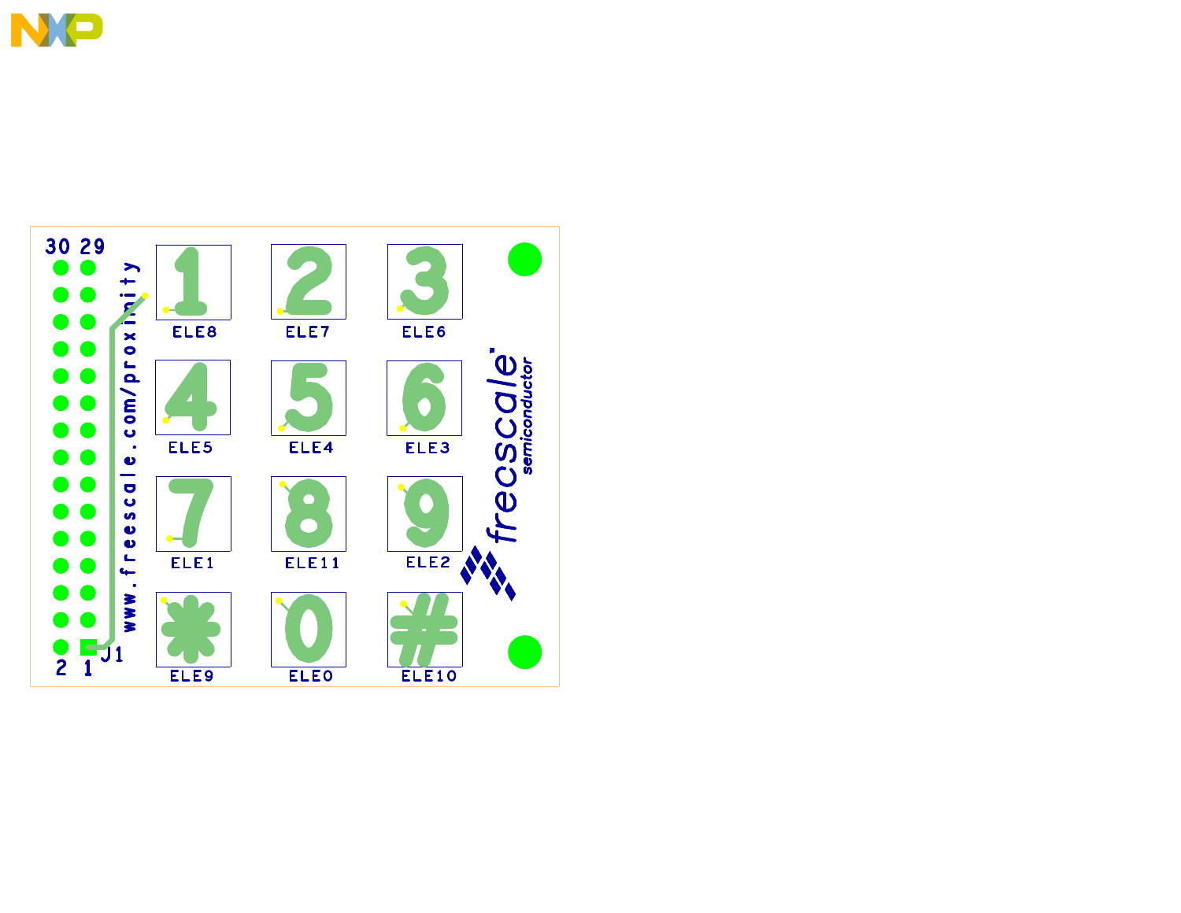